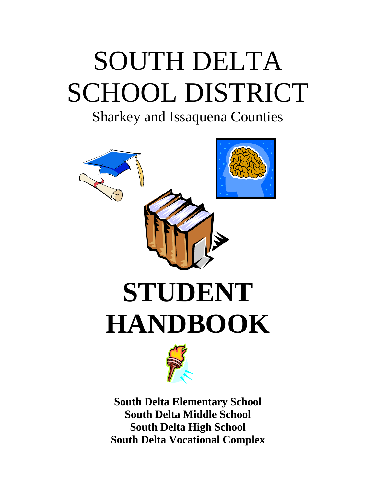# SOUTH DELTA SCHOOL DISTRICT

# Sharkey and Issaquena Counties





**South Delta Elementary School South Delta Middle School South Delta High School South Delta Vocational Complex**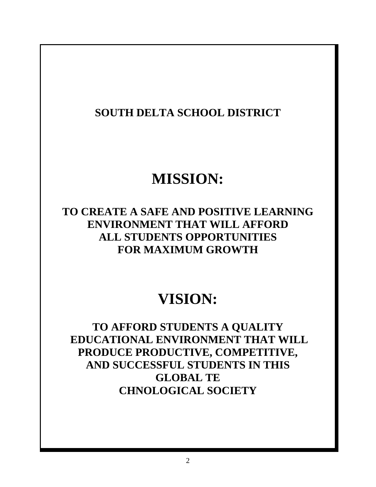**SOUTH DELTA SCHOOL DISTRICT** 

# **MISSION:**

**TO CREATE A SAFE AND POSITIVE LEARNING ENVIRONMENT THAT WILL AFFORD ALL STUDENTS OPPORTUNITIES FOR MAXIMUM GROWTH** 

# **VISION:**

**TO AFFORD STUDENTS A QUALITY EDUCATIONAL ENVIRONMENT THAT WILL PRODUCE PRODUCTIVE, COMPETITIVE, AND SUCCESSFUL STUDENTS IN THIS GLOBAL TE CHNOLOGICAL SOCIETY**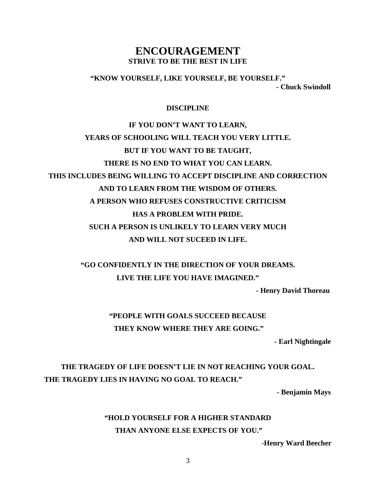## **ENCOURAGEMENT STRIVE TO BE THE BEST IN LIFE**

**"KNOW YOURSELF, LIKE YOURSELF, BE YOURSELF." - Chuck Swindoll** 

#### **DISCIPLINE**

# **IF YOU DON'T WANT TO LEARN, YEARS OF SCHOOLING WILL TEACH YOU VERY LITTLE. BUT IF YOU WANT TO BE TAUGHT, THERE IS NO END TO WHAT YOU CAN LEARN. THIS INCLUDES BEING WILLING TO ACCEPT DISCIPLINE AND CORRECTION AND TO LEARN FROM THE WISDOM OF OTHERS. A PERSON WHO REFUSES CONSTRUCTIVE CRITICISM HAS A PROBLEM WITH PRIDE. SUCH A PERSON IS UNLIKELY TO LEARN VERY MUCH AND WILL NOT SUCEED IN LIFE.**

# **"GO CONFIDENTLY IN THE DIRECTION OF YOUR DREAMS. LIVE THE LIFE YOU HAVE IMAGINED."**

 **- Henry David Thoreau** 

# **"PEOPLE WITH GOALS SUCCEED BECAUSE THEY KNOW WHERE THEY ARE GOING."**

 **- Earl Nightingale** 

# **THE TRAGEDY OF LIFE DOESN'T LIE IN NOT REACHING YOUR GOAL. THE TRAGEDY LIES IN HAVING NO GOAL TO REACH."**

 **- Benjamin Mays** 

# **"HOLD YOURSELF FOR A HIGHER STANDARD THAN ANYONE ELSE EXPECTS OF YOU."**

 **-Henry Ward Beecher**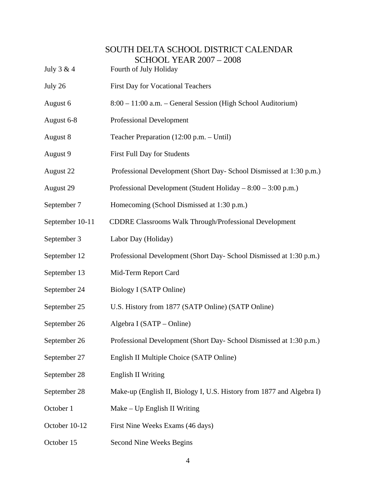# SOUTH DELTA SCHOOL DISTRICT CALENDAR SCHOOL YEAR 2007 – 2008 July 3 & 4 Fourth of July Holiday July 26 First Day for Vocational Teachers August 6 8:00 – 11:00 a.m. – General Session (High School Auditorium) August 6-8 Professional Development August 8 Teacher Preparation (12:00 p.m. – Until) August 9 First Full Day for Students August 22 Professional Development (Short Day- School Dismissed at 1:30 p.m.) August 29 Professional Development (Student Holiday – 8:00 – 3:00 p.m.) September 7 Homecoming (School Dismissed at 1:30 p.m.) September 10-11 CDDRE Classrooms Walk Through/Professional Development September 3 Labor Day (Holiday) September 12 Professional Development (Short Day- School Dismissed at 1:30 p.m.) September 13 Mid-Term Report Card September 24 Biology I (SATP Online) September 25 U.S. History from 1877 (SATP Online) (SATP Online) September 26 Algebra I (SATP – Online) September 26 Professional Development (Short Day- School Dismissed at 1:30 p.m.) September 27 English II Multiple Choice (SATP Online) September 28 English II Writing September 28 Make-up (English II, Biology I, U.S. History from 1877 and Algebra I) October 1 Make – Up English II Writing October 10-12 First Nine Weeks Exams (46 days)

October 15 Second Nine Weeks Begins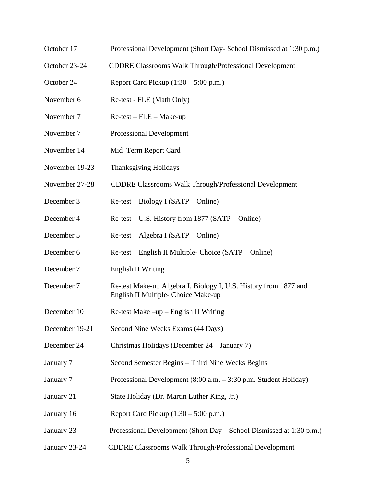- October 17 Professional Development (Short Day- School Dismissed at 1:30 p.m.)
- October 23-24 CDDRE Classrooms Walk Through/Professional Development
- October 24 Report Card Pickup (1:30 5:00 p.m.)
- November 6 Re-test FLE (Math Only)
- November 7 Re-test FLE Make-up
- November 7 Professional Development
- November 14 Mid–Term Report Card
- November 19-23 Thanksgiving Holidays
- November 27-28 CDDRE Classrooms Walk Through/Professional Development
- December 3 Re-test Biology I (SATP Online)
- December 4 Re-test U.S. History from 1877 (SATP Online)
- December 5 Re-test Algebra I (SATP Online)
- December 6 Re-test English II Multiple- Choice (SATP Online)
- December 7 English II Writing
- December 7 Re-test Make-up Algebra I, Biology I, U.S. History from 1877 and English II Multiple- Choice Make-up
- December 10 Re-test Make –up English II Writing
- December 19-21 Second Nine Weeks Exams (44 Days)
- December 24 Christmas Holidays (December 24 January 7)
- January 7 Second Semester Begins Third Nine Weeks Begins
- January 7 Professional Development (8:00 a.m. 3:30 p.m. Student Holiday)
- January 21 State Holiday (Dr. Martin Luther King, Jr.)
- January 16 Report Card Pickup (1:30 5:00 p.m.)
- January 23 Professional Development (Short Day School Dismissed at 1:30 p.m.)
- January 23-24 CDDRE Classrooms Walk Through/Professional Development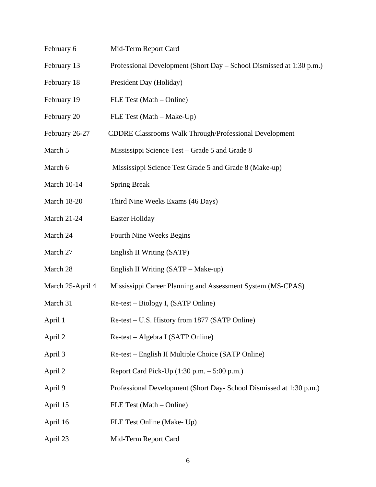February 6 Mid-Term Report Card February 13 Professional Development (Short Day – School Dismissed at 1:30 p.m.) February 18 President Day (Holiday) February 19 FLE Test (Math – Online) February 20 FLE Test (Math – Make-Up) February 26-27 CDDRE Classrooms Walk Through/Professional Development March 5 Mississippi Science Test – Grade 5 and Grade 8 March 6 Mississippi Science Test Grade 5 and Grade 8 (Make-up) March 10-14 Spring Break March 18-20 Third Nine Weeks Exams (46 Days) March 21-24 Easter Holiday March 24 Fourth Nine Weeks Begins March 27 English II Writing (SATP) March 28 English II Writing (SATP – Make-up) March 25-April 4 Mississippi Career Planning and Assessment System (MS-CPAS) March 31 Re-test – Biology I, (SATP Online) April 1 Re-test – U.S. History from 1877 (SATP Online) April 2 Re-test – Algebra I (SATP Online) April 3 Re-test – English II Multiple Choice (SATP Online) April 2 Report Card Pick-Up (1:30 p.m. – 5:00 p.m.) April 9 Professional Development (Short Day- School Dismissed at 1:30 p.m.) April 15 FLE Test (Math – Online) April 16 FLE Test Online (Make- Up) April 23 Mid-Term Report Card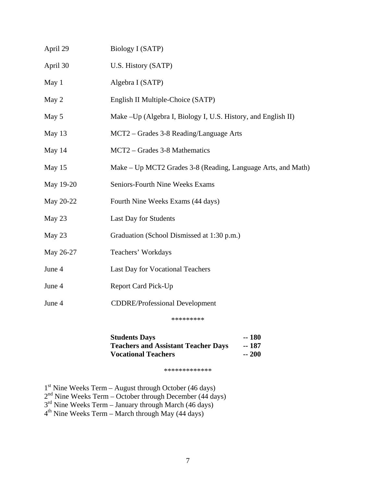| April 29  | Biology I (SATP)                                              |
|-----------|---------------------------------------------------------------|
| April 30  | U.S. History (SATP)                                           |
| May 1     | Algebra I (SATP)                                              |
| May 2     | English II Multiple-Choice (SATP)                             |
| May 5     | Make –Up (Algebra I, Biology I, U.S. History, and English II) |
| May 13    | MCT2 - Grades 3-8 Reading/Language Arts                       |
| May 14    | MCT2 – Grades 3-8 Mathematics                                 |
| May 15    | Make – Up MCT2 Grades 3-8 (Reading, Language Arts, and Math)  |
| May 19-20 | Seniors-Fourth Nine Weeks Exams                               |
| May 20-22 | Fourth Nine Weeks Exams (44 days)                             |
| May 23    | Last Day for Students                                         |
| May 23    | Graduation (School Dismissed at 1:30 p.m.)                    |
| May 26-27 | Teachers' Workdays                                            |
| June 4    | Last Day for Vocational Teachers                              |
| June 4    | <b>Report Card Pick-Up</b>                                    |
| June 4    | <b>CDDRE/Professional Development</b>                         |
|           | *********                                                     |

**Students Days** -- 180<br>Teachers and Assistant Teacher Days -- 187 **Teachers and Assistant Teacher Days** -- 187<br>Vocational Teachers -- 200 **Vocational Teachers** 

\*\*\*\*\*\*\*\*\*\*\*\*\*

 $1<sup>st</sup>$  Nine Weeks Term – August through October (46 days)

 $2<sup>nd</sup>$  Nine Weeks Term – October through December (44 days)

 $3<sup>rd</sup>$  Nine Weeks Term – January through March (46 days)

 $4<sup>th</sup>$  Nine Weeks Term – March through May (44 days)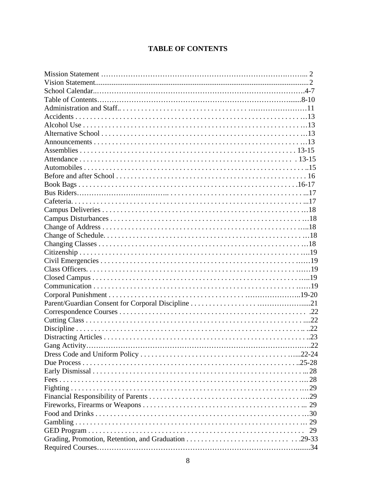## **TABLE OF CONTENTS**

|  | 29 |
|--|----|
|  |    |
|  |    |
|  |    |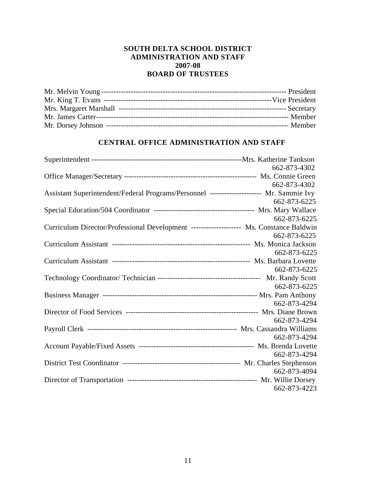#### **SOUTH DELTA SCHOOL DISTRICT ADMINISTRATION AND STAFF 2007-08 BOARD OF TRUSTEES**

#### **CENTRAL OFFICE ADMINISTRATION AND STAFF**

|                                                                                          | 662-873-4302 |
|------------------------------------------------------------------------------------------|--------------|
|                                                                                          |              |
|                                                                                          | 662-873-4302 |
| Assistant Superintendent/Federal Programs/Personnel --------------------- Mr. Sammie Ivy |              |
|                                                                                          | 662-873-6225 |
|                                                                                          |              |
|                                                                                          | 662-873-6225 |
| Curriculum Director/Professional Development -------------------- Ms. Constance Baldwin  |              |
|                                                                                          | 662-873-6225 |
|                                                                                          |              |
|                                                                                          | 662-873-6225 |
|                                                                                          |              |
|                                                                                          | 662-873-6225 |
|                                                                                          |              |
|                                                                                          | 662-873-6225 |
|                                                                                          |              |
|                                                                                          | 662-873-4294 |
|                                                                                          |              |
|                                                                                          | 662-873-4294 |
|                                                                                          |              |
|                                                                                          | 662-873-4294 |
|                                                                                          |              |
|                                                                                          | 662-873-4294 |
|                                                                                          | 662-873-4094 |
|                                                                                          |              |
|                                                                                          | 662-873-4223 |
|                                                                                          |              |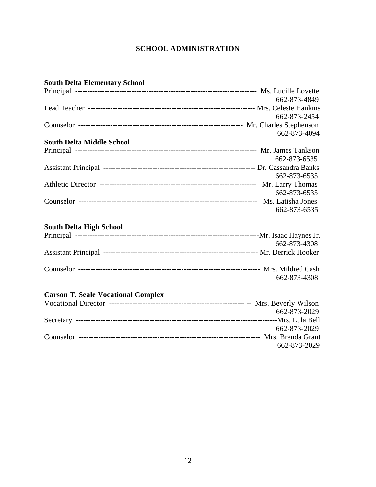## **SCHOOL ADMINISTRATION**

| <b>South Delta Elementary School</b>      |              |
|-------------------------------------------|--------------|
|                                           |              |
|                                           | 662-873-4849 |
|                                           |              |
|                                           | 662-873-2454 |
|                                           |              |
|                                           | 662-873-4094 |
| <b>South Delta Middle School</b>          |              |
|                                           |              |
|                                           | 662-873-6535 |
|                                           |              |
|                                           | 662-873-6535 |
|                                           |              |
|                                           | 662-873-6535 |
|                                           |              |
|                                           | 662-873-6535 |
|                                           |              |
| <b>South Delta High School</b>            |              |
|                                           |              |
|                                           | 662-873-4308 |
|                                           |              |
|                                           |              |
|                                           | 662-873-4308 |
|                                           |              |
| <b>Carson T. Seale Vocational Complex</b> |              |
|                                           |              |
|                                           | 662-873-2029 |
|                                           |              |
|                                           | 662-873-2029 |
|                                           |              |
|                                           | 662-873-2029 |
|                                           |              |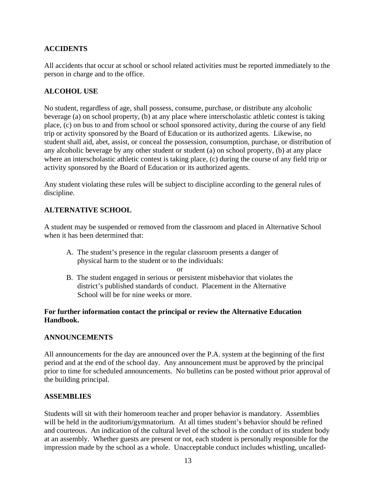#### **ACCIDENTS**

All accidents that occur at school or school related activities must be reported immediately to the person in charge and to the office.

#### **ALCOHOL USE**

No student, regardless of age, shall possess, consume, purchase, or distribute any alcoholic beverage (a) on school property, (b) at any place where interscholastic athletic contest is taking place, (c) on bus to and from school or school sponsored activity, during the course of any field trip or activity sponsored by the Board of Education or its authorized agents. Likewise, no student shall aid, abet, assist, or conceal the possession, consumption, purchase, or distribution of any alcoholic beverage by any other student or student (a) on school property, (b) at any place where an interscholastic athletic contest is taking place, (c) during the course of any field trip or activity sponsored by the Board of Education or its authorized agents.

Any student violating these rules will be subject to discipline according to the general rules of discipline.

#### **ALTERNATIVE SCHOOL**

A student may be suspended or removed from the classroom and placed in Alternative School when it has been determined that:

 A. The student's presence in the regular classroom presents a danger of physical harm to the student or to the individuals:

or

 B. The student engaged in serious or persistent misbehavior that violates the district's published standards of conduct. Placement in the Alternative School will be for nine weeks or more.

#### **For further information contact the principal or review the Alternative Education Handbook.**

#### **ANNOUNCEMENTS**

All announcements for the day are announced over the P.A. system at the beginning of the first period and at the end of the school day. Any announcement must be approved by the principal prior to time for scheduled announcements. No bulletins can be posted without prior approval of the building principal.

#### **ASSEMBLIES**

Students will sit with their homeroom teacher and proper behavior is mandatory. Assemblies will be held in the auditorium/gymnatorium. At all times student's behavior should be refined and courteous. An indication of the cultural level of the school is the conduct of its student body at an assembly. Whether guests are present or not, each student is personally responsible for the impression made by the school as a whole. Unacceptable conduct includes whistling, uncalled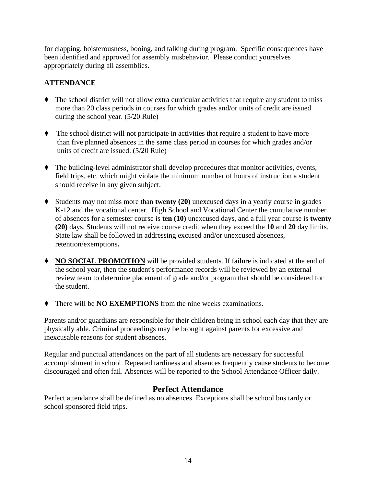for clapping, boisterousness, booing, and talking during program. Specific consequences have been identified and approved for assembly misbehavior. Please conduct yourselves appropriately during all assemblies.

#### **ATTENDANCE**

- ' The school district will not allow extra curricular activities that require any student to miss more than 20 class periods in courses for which grades and/or units of credit are issued during the school year. (5/20 Rule)
- ' The school district will not participate in activities that require a student to have more than five planned absences in the same class period in courses for which grades and/or units of credit are issued. (5/20 Rule)
- ' The building-level administrator shall develop procedures that monitor activities, events, field trips, etc. which might violate the minimum number of hours of instruction a student should receive in any given subject.
- ' Students may not miss more than **twenty (20)** unexcused days in a yearly course in grades K-12 and the vocational center. High School and Vocational Center the cumulative number of absences for a semester course is **ten (10)** unexcused days, and a full year course is **twenty (20)** days. Students will not receive course credit when they exceed the **10** and **20** day limits. State law shall be followed in addressing excused and/or unexcused absences, retention/exemptions**.**
- ' **NO SOCIAL PROMOTION** will be provided students. If failure is indicated at the end of the school year, then the student's performance records will be reviewed by an external review team to determine placement of grade and/or program that should be considered for the student.
- ' There will be **NO EXEMPTIONS** from the nine weeks examinations.

Parents and/or guardians are responsible for their children being in school each day that they are physically able. Criminal proceedings may be brought against parents for excessive and inexcusable reasons for student absences.

Regular and punctual attendances on the part of all students are necessary for successful accomplishment in school. Repeated tardiness and absences frequently cause students to become discouraged and often fail. Absences will be reported to the School Attendance Officer daily.

#### **Perfect Attendance**

Perfect attendance shall be defined as no absences. Exceptions shall be school bus tardy or school sponsored field trips.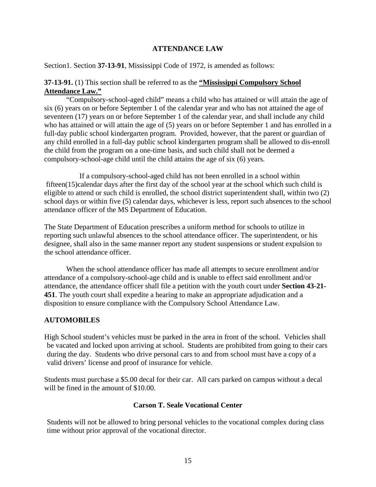#### **ATTENDANCE LAW**

Section1. Section **37-13-91**, Mississippi Code of 1972, is amended as follows:

#### **37-13-91.** (1) This section shall be referred to as the **"Mississippi Compulsory School Attendance Law."**

 "Compulsory-school-aged child" means a child who has attained or will attain the age of six (6) years on or before September 1 of the calendar year and who has not attained the age of seventeen (17) years on or before September 1 of the calendar year, and shall include any child who has attained or will attain the age of (5) years on or before September 1 and has enrolled in a full-day public school kindergarten program. Provided, however, that the parent or guardian of any child enrolled in a full-day public school kindergarten program shall be allowed to dis-enroll the child from the program on a one-time basis, and such child shall not be deemed a compulsory-school-age child until the child attains the age of six (6) years.

 If a compulsory-school-aged child has not been enrolled in a school within fifteen(15)calendar days after the first day of the school year at the school which such child is eligible to attend or such child is enrolled, the school district superintendent shall, within two (2) school days or within five (5) calendar days, whichever is less, report such absences to the school attendance officer of the MS Department of Education.

The State Department of Education prescribes a uniform method for schools to utilize in reporting such unlawful absences to the school attendance officer. The superintendent, or his designee, shall also in the same manner report any student suspensions or student expulsion to the school attendance officer.

 When the school attendance officer has made all attempts to secure enrollment and/or attendance of a compulsory-school-age child and is unable to effect said enrollment and/or attendance, the attendance officer shall file a petition with the youth court under **Section 43-21- 451**. The youth court shall expedite a hearing to make an appropriate adjudication and a disposition to ensure compliance with the Compulsory School Attendance Law.

#### **AUTOMOBILES**

High School student's vehicles must be parked in the area in front of the school. Vehicles shall be vacated and locked upon arriving at school. Students are prohibited from going to their cars during the day. Students who drive personal cars to and from school must have a copy of a valid drivers' license and proof of insurance for vehicle.

Students must purchase a \$5.00 decal for their car. All cars parked on campus without a decal will be fined in the amount of \$10.00.

#### **Carson T. Seale Vocational Center**

 Students will not be allowed to bring personal vehicles to the vocational complex during class time without prior approval of the vocational director.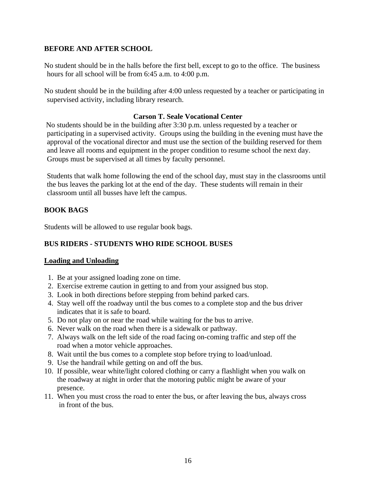#### **BEFORE AND AFTER SCHOOL**

No student should be in the halls before the first bell, except to go to the office. The business hours for all school will be from 6:45 a.m. to 4:00 p.m.

No student should be in the building after 4:00 unless requested by a teacher or participating in supervised activity, including library research.

#### **Carson T. Seale Vocational Center**

 No students should be in the building after 3:30 p.m. unless requested by a teacher or participating in a supervised activity. Groups using the building in the evening must have the approval of the vocational director and must use the section of the building reserved for them and leave all rooms and equipment in the proper condition to resume school the next day. Groups must be supervised at all times by faculty personnel.

 Students that walk home following the end of the school day, must stay in the classrooms until the bus leaves the parking lot at the end of the day. These students will remain in their classroom until all busses have left the campus.

#### **BOOK BAGS**

Students will be allowed to use regular book bags.

#### **BUS RIDERS - STUDENTS WHO RIDE SCHOOL BUSES**

#### **Loading and Unloading**

- 1. Be at your assigned loading zone on time.
- 2. Exercise extreme caution in getting to and from your assigned bus stop.
- 3. Look in both directions before stepping from behind parked cars.
- 4. Stay well off the roadway until the bus comes to a complete stop and the bus driver indicates that it is safe to board.
- 5. Do not play on or near the road while waiting for the bus to arrive.
- 6. Never walk on the road when there is a sidewalk or pathway.
- 7. Always walk on the left side of the road facing on-coming traffic and step off the road when a motor vehicle approaches.
- 8. Wait until the bus comes to a complete stop before trying to load/unload.
- 9. Use the handrail while getting on and off the bus.
- 10. If possible, wear white/light colored clothing or carry a flashlight when you walk on the roadway at night in order that the motoring public might be aware of your presence.
- 11. When you must cross the road to enter the bus, or after leaving the bus, always cross in front of the bus.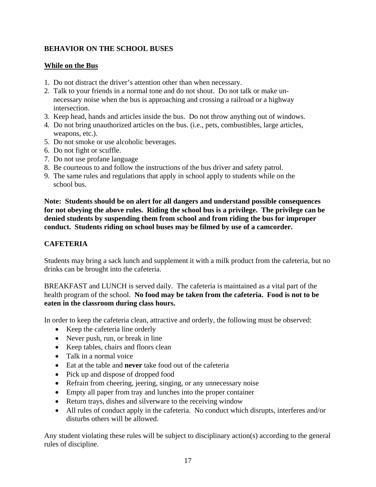#### **BEHAVIOR ON THE SCHOOL BUSES**

#### **While on the Bus**

- 1. Do not distract the driver's attention other than when necessary.
- 2. Talk to your friends in a normal tone and do not shout. Do not talk or make un necessary noise when the bus is approaching and crossing a railroad or a highway intersection.
- 3. Keep head, hands and articles inside the bus. Do not throw anything out of windows.
- 4. Do not bring unauthorized articles on the bus. (i.e., pets, combustibles, large articles, weapons, etc.).
- 5. Do not smoke or use alcoholic beverages.
- 6. Do not fight or scuffle.
- 7. Do not use profane language
- 8. Be courteous to and follow the instructions of the bus driver and safety patrol.
- 9. The same rules and regulations that apply in school apply to students while on the school bus.

**Note: Students should be on alert for all dangers and understand possible consequences for not obeying the above rules. Riding the school bus is a privilege. The privilege can be denied students by suspending them from school and from riding the bus for improper conduct. Students riding on school buses may be filmed by use of a camcorder.** 

#### **CAFETERIA**

Students may bring a sack lunch and supplement it with a milk product from the cafeteria, but no drinks can be brought into the cafeteria.

BREAKFAST and LUNCH is served daily. The cafeteria is maintained as a vital part of the health program of the school. **No food may be taken from the cafeteria. Food is not to be eaten in the classroom during class hours.** 

In order to keep the cafeteria clean, attractive and orderly, the following must be observed:

- Keep the cafeteria line orderly
- Never push, run, or break in line
- Keep tables, chairs and floors clean
- Talk in a normal voice
- Eat at the table and **never** take food out of the cafeteria
- Pick up and dispose of dropped food
- Refrain from cheering, jeering, singing, or any unnecessary noise
- Empty all paper from tray and lunches into the proper container
- Return trays, dishes and silverware to the receiving window
- All rules of conduct apply in the cafeteria. No conduct which disrupts, interferes and/or disturbs others will be allowed.

Any student violating these rules will be subject to disciplinary action(s) according to the general rules of discipline.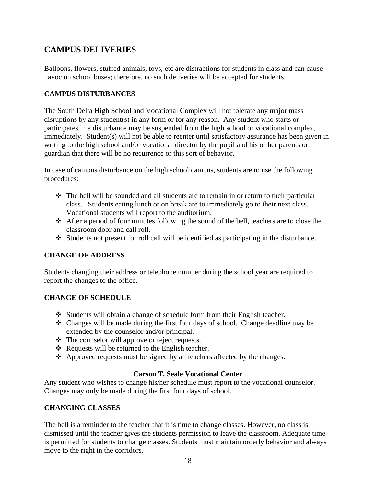# **CAMPUS DELIVERIES**

Balloons, flowers, stuffed animals, toys, etc are distractions for students in class and can cause havoc on school buses; therefore, no such deliveries will be accepted for students.

#### **CAMPUS DISTURBANCES**

The South Delta High School and Vocational Complex will not tolerate any major mass disruptions by any student(s) in any form or for any reason. Any student who starts or participates in a disturbance may be suspended from the high school or vocational complex, immediately. Student(s) will not be able to reenter until satisfactory assurance has been given in writing to the high school and/or vocational director by the pupil and his or her parents or guardian that there will be no recurrence or this sort of behavior.

In case of campus disturbance on the high school campus, students are to use the following procedures:

- The bell will be sounded and all students are to remain in or return to their particular class. Students eating lunch or on break are to immediately go to their next class. Vocational students will report to the auditorium.
- After a period of four minutes following the sound of the bell, teachers are to close the classroom door and call roll.
- Students not present for roll call will be identified as participating in the disturbance.

#### **CHANGE OF ADDRESS**

Students changing their address or telephone number during the school year are required to report the changes to the office.

#### **CHANGE OF SCHEDULE**

- Students will obtain a change of schedule form from their English teacher.
- Changes will be made during the first four days of school. Change deadline may be extended by the counselor and/or principal.
- The counselor will approve or reject requests.
- $\triangle$  Requests will be returned to the English teacher.
- $\triangle$  Approved requests must be signed by all teachers affected by the changes.

#### **Carson T. Seale Vocational Center**

Any student who wishes to change his/her schedule must report to the vocational counselor. Changes may only be made during the first four days of school.

#### **CHANGING CLASSES**

The bell is a reminder to the teacher that it is time to change classes. However, no class is dismissed until the teacher gives the students permission to leave the classroom. Adequate time is permitted for students to change classes. Students must maintain orderly behavior and always move to the right in the corridors.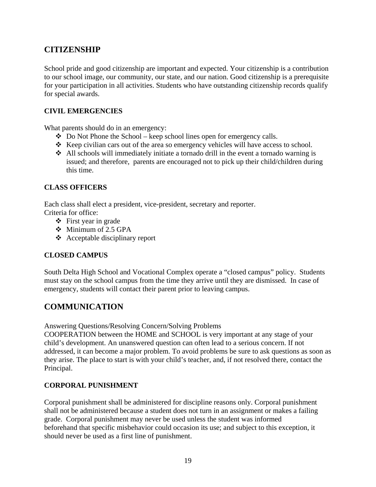# **CITIZENSHIP**

School pride and good citizenship are important and expected. Your citizenship is a contribution to our school image, our community, our state, and our nation. Good citizenship is a prerequisite for your participation in all activities. Students who have outstanding citizenship records qualify for special awards.

#### **CIVIL EMERGENCIES**

What parents should do in an emergency:

- $\bullet$  Do Not Phone the School keep school lines open for emergency calls.
- $\triangle$  Keep civilian cars out of the area so emergency vehicles will have access to school.
- All schools will immediately initiate a tornado drill in the event a tornado warning is issued; and therefore, parents are encouraged not to pick up their child/children during this time.

#### **CLASS OFFICERS**

Each class shall elect a president, vice-president, secretary and reporter. Criteria for office:

- $\div$  First year in grade
- Minimum of 2.5 GPA
- Acceptable disciplinary report

#### **CLOSED CAMPUS**

South Delta High School and Vocational Complex operate a "closed campus" policy. Students must stay on the school campus from the time they arrive until they are dismissed. In case of emergency, students will contact their parent prior to leaving campus.

# **COMMUNICATION**

Answering Questions/Resolving Concern/Solving Problems

COOPERATION between the HOME and SCHOOL is very important at any stage of your child's development. An unanswered question can often lead to a serious concern. If not addressed, it can become a major problem. To avoid problems be sure to ask questions as soon as they arise. The place to start is with your child's teacher, and, if not resolved there, contact the Principal.

#### **CORPORAL PUNISHMENT**

Corporal punishment shall be administered for discipline reasons only. Corporal punishment shall not be administered because a student does not turn in an assignment or makes a failing grade. Corporal punishment may never be used unless the student was informed beforehand that specific misbehavior could occasion its use; and subject to this exception, it should never be used as a first line of punishment.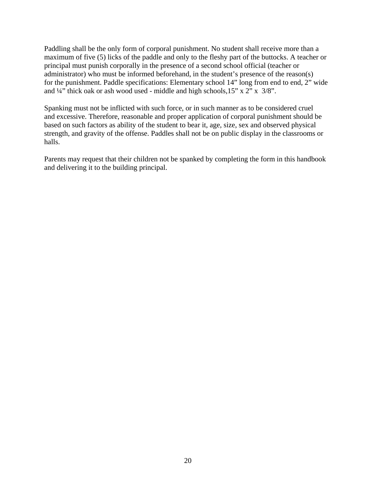Paddling shall be the only form of corporal punishment. No student shall receive more than a maximum of five (5) licks of the paddle and only to the fleshy part of the buttocks. A teacher or principal must punish corporally in the presence of a second school official (teacher or administrator) who must be informed beforehand, in the student's presence of the reason(s) for the punishment. Paddle specifications: Elementary school 14" long from end to end, 2" wide and ¼" thick oak or ash wood used - middle and high schools,15" x 2" x 3/8".

Spanking must not be inflicted with such force, or in such manner as to be considered cruel and excessive. Therefore, reasonable and proper application of corporal punishment should be based on such factors as ability of the student to bear it, age, size, sex and observed physical strength, and gravity of the offense. Paddles shall not be on public display in the classrooms or halls.

Parents may request that their children not be spanked by completing the form in this handbook and delivering it to the building principal.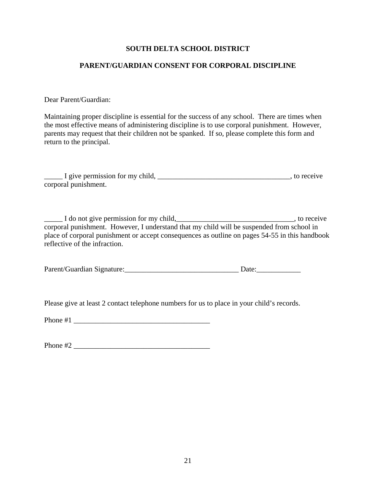#### **SOUTH DELTA SCHOOL DISTRICT**

#### **PARENT/GUARDIAN CONSENT FOR CORPORAL DISCIPLINE**

Dear Parent/Guardian:

Maintaining proper discipline is essential for the success of any school. There are times when the most effective means of administering discipline is to use corporal punishment. However, parents may request that their children not be spanked. If so, please complete this form and return to the principal.

| I give permission for my child. | to receive |
|---------------------------------|------------|
| corporal punishment.            |            |

\_\_\_\_\_ I do not give permission for my child,\_\_\_\_\_\_\_\_\_\_\_\_\_\_\_\_\_\_\_\_\_\_\_\_\_\_\_\_\_\_\_\_, to receive corporal punishment. However, I understand that my child will be suspended from school in place of corporal punishment or accept consequences as outline on pages 54-55 in this handbook reflective of the infraction.

| Parent/Guardian Signature: | Date |
|----------------------------|------|
|                            |      |

Please give at least 2 contact telephone numbers for us to place in your child's records.

Phone  $#1$ 

Phone #2 \_\_\_\_\_\_\_\_\_\_\_\_\_\_\_\_\_\_\_\_\_\_\_\_\_\_\_\_\_\_\_\_\_\_\_\_\_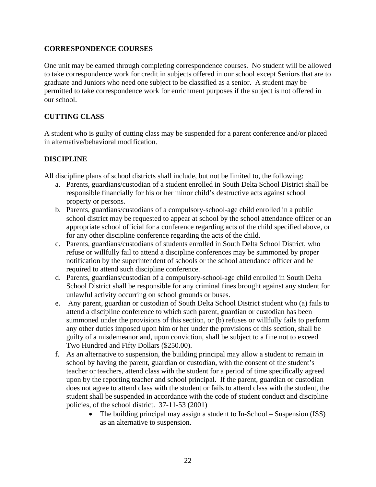#### **CORRESPONDENCE COURSES**

One unit may be earned through completing correspondence courses. No student will be allowed to take correspondence work for credit in subjects offered in our school except Seniors that are to graduate and Juniors who need one subject to be classified as a senior. A student may be permitted to take correspondence work for enrichment purposes if the subject is not offered in our school.

#### **CUTTING CLASS**

A student who is guilty of cutting class may be suspended for a parent conference and/or placed in alternative/behavioral modification.

#### **DISCIPLINE**

All discipline plans of school districts shall include, but not be limited to, the following:

- a. Parents, guardians/custodian of a student enrolled in South Delta School District shall be responsible financially for his or her minor child's destructive acts against school property or persons.
- b. Parents, guardians/custodians of a compulsory-school-age child enrolled in a public school district may be requested to appear at school by the school attendance officer or an appropriate school official for a conference regarding acts of the child specified above, or for any other discipline conference regarding the acts of the child.
- c. Parents, guardians/custodians of students enrolled in South Delta School District, who refuse or willfully fail to attend a discipline conferences may be summoned by proper notification by the superintendent of schools or the school attendance officer and be required to attend such discipline conference.
- d. Parents, guardians/custodian of a compulsory-school-age child enrolled in South Delta School District shall be responsible for any criminal fines brought against any student for unlawful activity occurring on school grounds or buses.
- e. Any parent, guardian or custodian of South Delta School District student who (a) fails to attend a discipline conference to which such parent, guardian or custodian has been summoned under the provisions of this section, or (b) refuses or willfully fails to perform any other duties imposed upon him or her under the provisions of this section, shall be guilty of a misdemeanor and, upon conviction, shall be subject to a fine not to exceed Two Hundred and Fifty Dollars (\$250.00).
- f. As an alternative to suspension, the building principal may allow a student to remain in school by having the parent, guardian or custodian, with the consent of the student's teacher or teachers, attend class with the student for a period of time specifically agreed upon by the reporting teacher and school principal. If the parent, guardian or custodian does not agree to attend class with the student or fails to attend class with the student, the student shall be suspended in accordance with the code of student conduct and discipline policies, of the school district. 37-11-53 (2001)
	- The building principal may assign a student to In-School Suspension (ISS) as an alternative to suspension.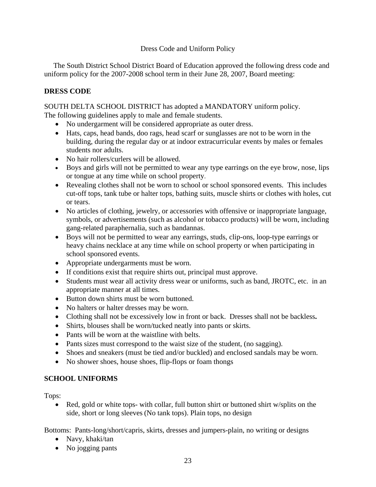#### Dress Code and Uniform Policy

 The South District School District Board of Education approved the following dress code and uniform policy for the 2007-2008 school term in their June 28, 2007, Board meeting:

#### **DRESS CODE**

SOUTH DELTA SCHOOL DISTRICT has adopted a MANDATORY uniform policy. The following guidelines apply to male and female students.

- No undergarment will be considered appropriate as outer dress.
- Hats, caps, head bands, doo rags, head scarf or sunglasses are not to be worn in the building, during the regular day or at indoor extracurricular events by males or females students nor adults.
- No hair rollers/curlers will be allowed.
- Boys and girls will not be permitted to wear any type earrings on the eye brow, nose, lips or tongue at any time while on school property.
- Revealing clothes shall not be worn to school or school sponsored events. This includes cut-off tops, tank tube or halter tops, bathing suits, muscle shirts or clothes with holes, cut or tears.
- No articles of clothing, jewelry, or accessories with offensive or inappropriate language, symbols, or advertisements (such as alcohol or tobacco products) will be worn, including gang-related paraphernalia, such as bandannas.
- Boys will not be permitted to wear any earrings, studs, clip-ons, loop-type earrings or heavy chains necklace at any time while on school property or when participating in school sponsored events.
- Appropriate undergarments must be worn.
- If conditions exist that require shirts out, principal must approve.
- Students must wear all activity dress wear or uniforms, such as band, JROTC, etc. in an appropriate manner at all times.
- Button down shirts must be worn buttoned.
- No halters or halter dresses may be worn.
- Clothing shall not be excessively low in front or back. Dresses shall not be backless**.**
- Shirts, blouses shall be worn/tucked neatly into pants or skirts.
- Pants will be worn at the waistline with belts.
- Pants sizes must correspond to the waist size of the student, (no sagging).
- Shoes and sneakers (must be tied and/or buckled) and enclosed sandals may be worn.
- No shower shoes, house shoes, flip-flops or foam thongs

#### **SCHOOL UNIFORMS**

Tops:

• Red, gold or white tops- with collar, full button shirt or buttoned shirt w/splits on the side, short or long sleeves (No tank tops). Plain tops, no design

Bottoms: Pants-long/short/capris, skirts, dresses and jumpers-plain, no writing or designs

- Navy, khaki/tan
- No jogging pants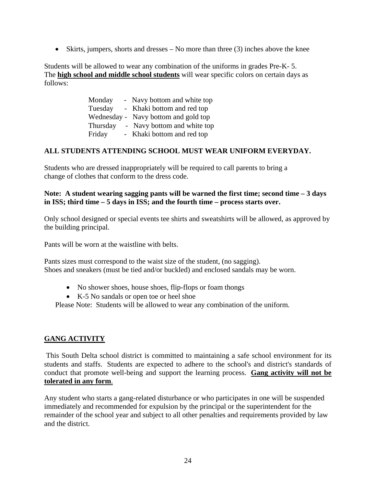• Skirts, jumpers, shorts and dresses – No more than three (3) inches above the knee

Students will be allowed to wear any combination of the uniforms in grades Pre-K- 5. The **high school and middle school students** will wear specific colors on certain days as follows:

| Monday   | - Navy bottom and white top          |
|----------|--------------------------------------|
| Tuesday  | - Khaki bottom and red top           |
|          | Wednesday - Navy bottom and gold top |
| Thursday | - Navy bottom and white top          |
| Friday   | - Khaki bottom and red top           |

#### **ALL STUDENTS ATTENDING SCHOOL MUST WEAR UNIFORM EVERYDAY.**

Students who are dressed inappropriately will be required to call parents to bring a change of clothes that conform to the dress code.

#### **Note: A student wearing sagging pants will be warned the first time; second time – 3 days in ISS; third time – 5 days in ISS; and the fourth time – process starts over.**

Only school designed or special events tee shirts and sweatshirts will be allowed, as approved by the building principal.

Pants will be worn at the waistline with belts.

Pants sizes must correspond to the waist size of the student, (no sagging). Shoes and sneakers (must be tied and/or buckled) and enclosed sandals may be worn.

- No shower shoes, house shoes, flip-flops or foam thongs
- K-5 No sandals or open toe or heel shoe

Please Note: Students will be allowed to wear any combination of the uniform.

#### **GANG ACTIVITY**

 This South Delta school district is committed to maintaining a safe school environment for its students and staffs. Students are expected to adhere to the school's and district's standards of conduct that promote well-being and support the learning process. **Gang activity will not be tolerated in any form**.

Any student who starts a gang-related disturbance or who participates in one will be suspended immediately and recommended for expulsion by the principal or the superintendent for the remainder of the school year and subject to all other penalties and requirements provided by law and the district.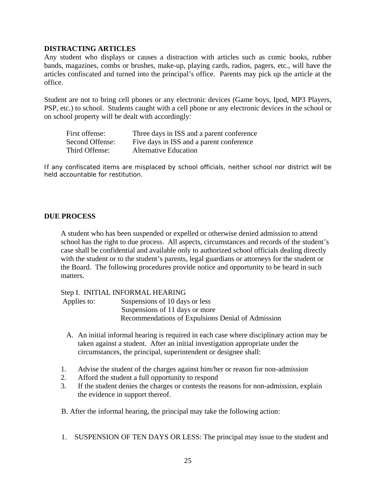#### **DISTRACTING ARTICLES**

Any student who displays or causes a distraction with articles such as comic books, rubber bands, magazines, combs or brushes, make-up, playing cards, radios, pagers, etc., will have the articles confiscated and turned into the principal's office. Parents may pick up the article at the office.

Student are not to bring cell phones or any electronic devices (Game boys, Ipod, MP3 Players, PSP, etc.) to school. Students caught with a cell phone or any electronic devices in the school or on school property will be dealt with accordingly:

| First offense:  | Three days in ISS and a parent conference |
|-----------------|-------------------------------------------|
| Second Offense: | Five days in ISS and a parent conference  |
| Third Offense:  | <b>Alternative Education</b>              |

If any confiscated items are misplaced by school officials, neither school nor district will be held accountable for restitution.

#### **DUE PROCESS**

A student who has been suspended or expelled or otherwise denied admission to attend school has the right to due process. All aspects, circumstances and records of the student's case shall be confidential and available only to authorized school officials dealing directly with the student or to the student's parents, legal guardians or attorneys for the student or the Board. The following procedures provide notice and opportunity to be heard in such matters.

#### Step I. INITIAL INFORMAL HEARING

Applies to: Suspensions of 10 days or less Suspensions of 11 days or more Recommendations of Expulsions Denial of Admission

- A. An initial informal hearing is required in each case where disciplinary action may be taken against a student. After an initial investigation appropriate under the circumstances, the principal, superintendent or designee shall:
- 1. Advise the student of the charges against him/her or reason for non-admission
- 2. Afford the student a full opportunity to respond
- 3. If the student denies the charges or contests the reasons for non-admission, explain the evidence in support thereof.

B. After the informal hearing, the principal may take the following action:

1. SUSPENSION OF TEN DAYS OR LESS: The principal may issue to the student and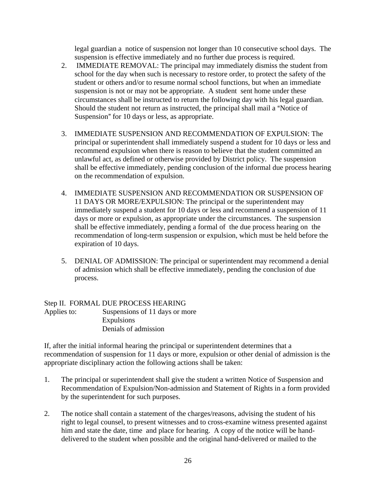legal guardian a notice of suspension not longer than 10 consecutive school days. The suspension is effective immediately and no further due process is required.

- 2. IMMEDIATE REMOVAL: The principal may immediately dismiss the student from school for the day when such is necessary to restore order, to protect the safety of the student or others and/or to resume normal school functions, but when an immediate suspension is not or may not be appropriate. A student sent home under these circumstances shall be instructed to return the following day with his legal guardian. Should the student not return as instructed, the principal shall mail a "Notice of Suspension" for 10 days or less, as appropriate.
- 3. IMMEDIATE SUSPENSION AND RECOMMENDATION OF EXPULSION: The principal or superintendent shall immediately suspend a student for 10 days or less and recommend expulsion when there is reason to believe that the student committed an unlawful act, as defined or otherwise provided by District policy. The suspension shall be effective immediately, pending conclusion of the informal due process hearing on the recommendation of expulsion.
- 4. IMMEDIATE SUSPENSION AND RECOMMENDATION OR SUSPENSION OF 11 DAYS OR MORE/EXPULSION: The principal or the superintendent may immediately suspend a student for 10 days or less and recommend a suspension of 11 days or more or expulsion, as appropriate under the circumstances. The suspension shall be effective immediately, pending a formal of the due process hearing on the recommendation of long-term suspension or expulsion, which must be held before the expiration of 10 days.
- 5. DENIAL OF ADMISSION: The principal or superintendent may recommend a denial of admission which shall be effective immediately, pending the conclusion of due process.

#### Step II. FORMAL DUE PROCESS HEARING Applies to: Suspensions of 11 days or more Expulsions Denials of admission

If, after the initial informal hearing the principal or superintendent determines that a recommendation of suspension for 11 days or more, expulsion or other denial of admission is the appropriate disciplinary action the following actions shall be taken:

- 1. The principal or superintendent shall give the student a written Notice of Suspension and Recommendation of Expulsion/Non-admission and Statement of Rights in a form provided by the superintendent for such purposes.
- 2. The notice shall contain a statement of the charges/reasons, advising the student of his right to legal counsel, to present witnesses and to cross-examine witness presented against him and state the date, time and place for hearing. A copy of the notice will be hand delivered to the student when possible and the original hand-delivered or mailed to the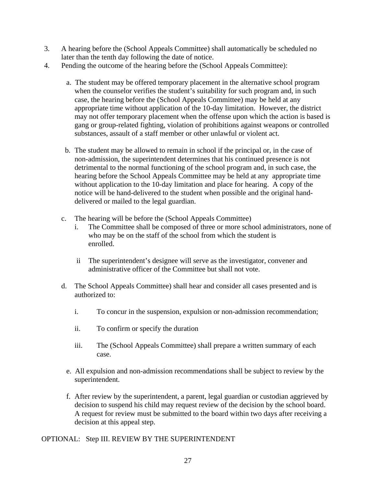- 3. A hearing before the (School Appeals Committee) shall automatically be scheduled no later than the tenth day following the date of notice.
- 4. Pending the outcome of the hearing before the (School Appeals Committee):
	- a. The student may be offered temporary placement in the alternative school program when the counselor verifies the student's suitability for such program and, in such case, the hearing before the (School Appeals Committee) may be held at any appropriate time without application of the 10-day limitation. However, the district may not offer temporary placement when the offense upon which the action is based is gang or group-related fighting, violation of prohibitions against weapons or controlled substances, assault of a staff member or other unlawful or violent act.
	- b. The student may be allowed to remain in school if the principal or, in the case of non-admission, the superintendent determines that his continued presence is not detrimental to the normal functioning of the school program and, in such case, the hearing before the School Appeals Committee may be held at any appropriate time without application to the 10-day limitation and place for hearing. A copy of the notice will be hand-delivered to the student when possible and the original handdelivered or mailed to the legal guardian.
	- c. The hearing will be before the (School Appeals Committee)
		- i. The Committee shall be composed of three or more school administrators, none of who may be on the staff of the school from which the student is enrolled.
		- ii The superintendent's designee will serve as the investigator, convener and administrative officer of the Committee but shall not vote.
	- d. The School Appeals Committee) shall hear and consider all cases presented and is authorized to:
		- i. To concur in the suspension, expulsion or non-admission recommendation;
		- ii. To confirm or specify the duration
		- iii. The (School Appeals Committee) shall prepare a written summary of each case.
		- e. All expulsion and non-admission recommendations shall be subject to review by the superintendent.
		- f. After review by the superintendent, a parent, legal guardian or custodian aggrieved by decision to suspend his child may request review of the decision by the school board. A request for review must be submitted to the board within two days after receiving a decision at this appeal step.

#### OPTIONAL: Step III. REVIEW BY THE SUPERINTENDENT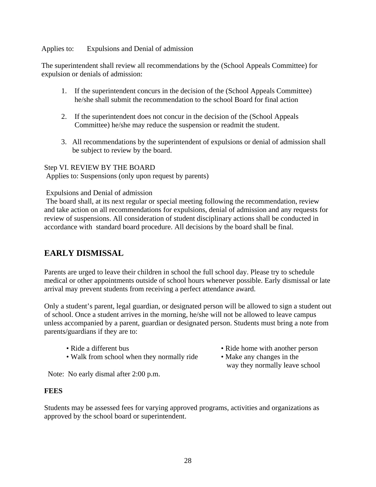Applies to: Expulsions and Denial of admission

The superintendent shall review all recommendations by the (School Appeals Committee) for expulsion or denials of admission:

- 1. If the superintendent concurs in the decision of the (School Appeals Committee) he/she shall submit the recommendation to the school Board for final action
- 2. If the superintendent does not concur in the decision of the (School Appeals Committee) he/she may reduce the suspension or readmit the student.
- 3. All recommendations by the superintendent of expulsions or denial of admission shall be subject to review by the board.

#### Step VI. REVIEW BY THE BOARD

Applies to: Suspensions (only upon request by parents)

#### Expulsions and Denial of admission

 The board shall, at its next regular or special meeting following the recommendation, review and take action on all recommendations for expulsions, denial of admission and any requests for review of suspensions. All consideration of student disciplinary actions shall be conducted in accordance with standard board procedure. All decisions by the board shall be final.

# **EARLY DISMISSAL**

Parents are urged to leave their children in school the full school day. Please try to schedule medical or other appointments outside of school hours whenever possible. Early dismissal or late arrival may prevent students from receiving a perfect attendance award.

Only a student's parent, legal guardian, or designated person will be allowed to sign a student out of school. Once a student arrives in the morning, he/she will not be allowed to leave campus unless accompanied by a parent, guardian or designated person. Students must bring a note from parents/guardians if they are to:

- 
- Walk from school when they normally ride Make any changes in the

Note: No early dismal after 2:00 p.m.

#### **FEES**

Students may be assessed fees for varying approved programs, activities and organizations as approved by the school board or superintendent.

- Ride a different bus Ride home with another person
	- way they normally leave school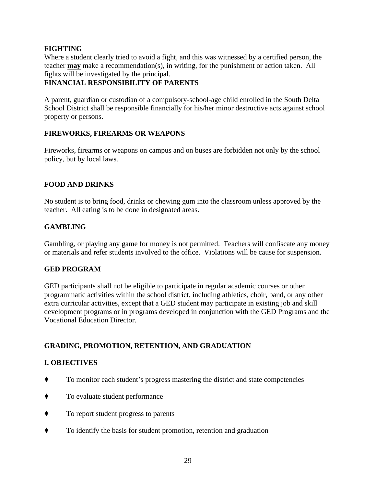#### **FIGHTING**

Where a student clearly tried to avoid a fight, and this was witnessed by a certified person, the teacher **may** make a recommendation(s), in writing, for the punishment or action taken. All fights will be investigated by the principal.

#### **FINANCIAL RESPONSIBILITY OF PARENTS**

A parent, guardian or custodian of a compulsory-school-age child enrolled in the South Delta School District shall be responsible financially for his/her minor destructive acts against school property or persons.

#### **FIREWORKS, FIREARMS OR WEAPONS**

Fireworks, firearms or weapons on campus and on buses are forbidden not only by the school policy, but by local laws.

#### **FOOD AND DRINKS**

No student is to bring food, drinks or chewing gum into the classroom unless approved by the teacher. All eating is to be done in designated areas.

#### **GAMBLING**

Gambling, or playing any game for money is not permitted. Teachers will confiscate any money or materials and refer students involved to the office. Violations will be cause for suspension.

#### **GED PROGRAM**

GED participants shall not be eligible to participate in regular academic courses or other programmatic activities within the school district, including athletics, choir, band, or any other extra curricular activities, except that a GED student may participate in existing job and skill development programs or in programs developed in conjunction with the GED Programs and the Vocational Education Director.

#### **GRADING, PROMOTION, RETENTION, AND GRADUATION**

#### **I. OBJECTIVES**

- ' To monitor each student's progress mastering the district and state competencies
- $\bullet$  To evaluate student performance
- $\bullet$  To report student progress to parents
- ' To identify the basis for student promotion, retention and graduation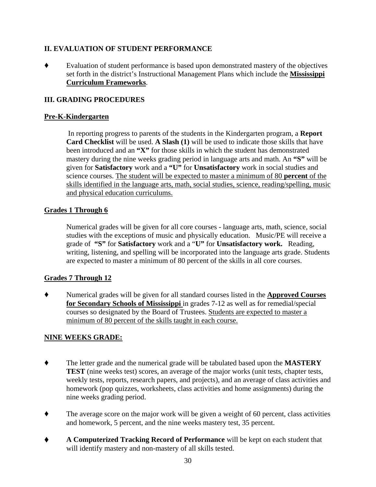#### **II. EVALUATION OF STUDENT PERFORMANCE**

' Evaluation of student performance is based upon demonstrated mastery of the objectives set forth in the district's Instructional Management Plans which include the **Mississippi Curriculum Frameworks**.

#### **III. GRADING PROCEDURES**

#### **Pre-K-Kindergarten**

In reporting progress to parents of the students in the Kindergarten program, a **Report Card Checklist** will be used. **A Slash (1)** will be used to indicate those skills that have been introduced and an **"X"** for those skills in which the student has demonstrated mastery during the nine weeks grading period in language arts and math. An **"S"** will be given for **Satisfactory** work and a **"U"** for **Unsatisfactory** work in social studies and science courses. The student will be expected to master a minimum of 80 **percent** of the skills identified in the language arts, math, social studies, science, reading/spelling, music and physical education curriculums.

#### **Grades 1 Through 6**

Numerical grades will be given for all core courses - language arts, math, science, social studies with the exceptions of music and physically education. Music/PE will receive a grade of **"S"** for **Satisfactory** work and a "**U"** for **Unsatisfactory work.** Reading, writing, listening, and spelling will be incorporated into the language arts grade. Students are expected to master a minimum of 80 percent of the skills in all core courses.

#### **Grades 7 Through 12**

' Numerical grades will be given for all standard courses listed in the **Approved Courses for Secondary Schools of Mississippi** in grades 7-12 as well as for remedial/special courses so designated by the Board of Trustees. Students are expected to master a minimum of 80 percent of the skills taught in each course.

#### **NINE WEEKS GRADE:**

- ' The letter grade and the numerical grade will be tabulated based upon the **MASTERY TEST** (nine weeks test) scores, an average of the major works (unit tests, chapter tests, weekly tests, reports, research papers, and projects), and an average of class activities and homework (pop quizzes, worksheets, class activities and home assignments) during the nine weeks grading period.
- $\blacklozenge$  The average score on the major work will be given a weight of 60 percent, class activities and homework, 5 percent, and the nine weeks mastery test, 35 percent.
- ' **A Computerized Tracking Record of Performance** will be kept on each student that will identify mastery and non-mastery of all skills tested.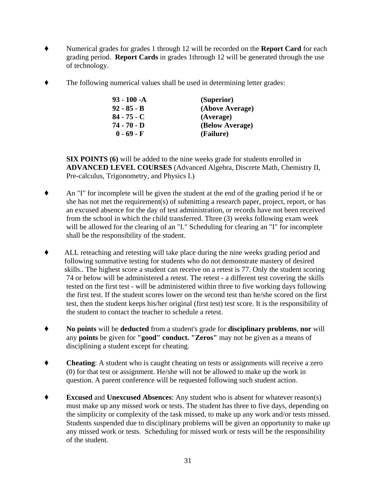- ' Numerical grades for grades 1 through 12 will be recorded on the **Report Card** for each grading period. **Report Cards** in grades 1through 12 will be generated through the use of technology.
- The following numerical values shall be used in determining letter grades:

| $93 - 100 - A$ | (Superior)      |
|----------------|-----------------|
| $92 - 85 - B$  | (Above Average) |
| $84 - 75 - C$  | (Average)       |
| 74 - 70 - D    | (Below Average) |
| $0 - 69 - F$   | (Failure)       |

**SIX POINTS (6)** will be added to the nine weeks grade for students enrolled in **ADVANCED LEVEL COURSES** (Advanced Algebra, Discrete Math, Chemistry II, Pre-calculus, Trigonometry, and Physics I.)

- $\blacklozenge$  An "I" for incomplete will be given the student at the end of the grading period if he or she has not met the requirement(s) of submitting a research paper, project, report, or has an excused absence for the day of test administration, or records have not been received from the school in which the child transferred. Three (3) weeks following exam week will be allowed for the clearing of an "I." Scheduling for clearing an "I" for incomplete shall be the responsibility of the student.
- ' ALL reteaching and retesting will take place during the nine weeks grading period and following summative testing for students who do not demonstrate mastery of desired skills.. The highest score a student can receive on a retest is 77. Only the student scoring 74 or below will be administered a retest. The retest - a different test covering the skills tested on the first test - will be administered within three to five working days following the first test. If the student scores lower on the second test than he/she scored on the first test, then the student keeps his/her original (first test) test score. It is the responsibility of the student to contact the teacher to schedule a retest.
- ' **No points** will be **deducted** from a student's grade for **disciplinary problems**, **nor** will any **points** be given for **"good" conduct. "Zeros"** may not be given as a means of disciplining a student except for cheating.
- ◆ **Cheating**: A student who is caught cheating on tests or assignments will receive a zero (0) for that test or assignment. He/she will not be allowed to make up the work in question. A parent conference will be requested following such student action.
- **Excused** and **Unexcused Absences**: Any student who is absent for whatever reason(s) must make up any missed work or tests. The student has three to five days, depending on the simplicity or complexity of the task missed, to make up any work and/or tests missed. Students suspended due to disciplinary problems will be given an opportunity to make up any missed work or tests. Scheduling for missed work or tests will be the responsibility of the student.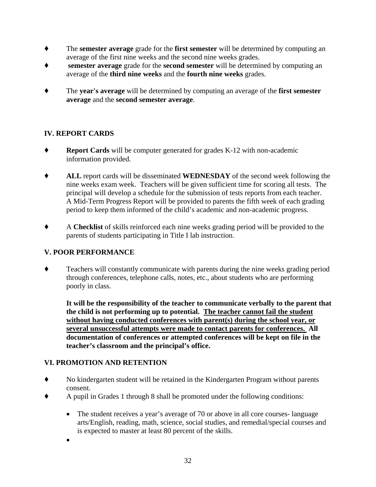- ' The **semester average** grade for the **first semester** will be determined by computing an average of the first nine weeks and the second nine weeks grades.
- **semester average** grade for the **second semester** will be determined by computing an average of the **third nine weeks** and the **fourth nine weeks** grades.
- ' The **year's average** will be determined by computing an average of the **first semester average** and the **second semester average**.

#### **IV. REPORT CARDS**

- ' **Report Cards** will be computer generated for grades K-12 with non-academic information provided.
- ' **ALL** report cards will be disseminated **WEDNESDAY** of the second week following the nine weeks exam week. Teachers will be given sufficient time for scoring all tests. The principal will develop a schedule for the submission of tests reports from each teacher. A Mid-Term Progress Report will be provided to parents the fifth week of each grading period to keep them informed of the child's academic and non-academic progress.
- ' A **Checklist** of skills reinforced each nine weeks grading period will be provided to the parents of students participating in Title I lab instruction.

#### **V. POOR PERFORMANCE**

' Teachers will constantly communicate with parents during the nine weeks grading period through conferences, telephone calls, notes, etc., about students who are performing poorly in class.

**It will be the responsibility of the teacher to communicate verbally to the parent that the child is not performing up to potential. The teacher cannot fail the student without having conducted conferences with parent(s) during the school year, or several unsuccessful attempts were made to contact parents for conferences. All documentation of conferences or attempted conferences will be kept on file in the teacher's classroom and the principal's office.** 

#### **VI. PROMOTION AND RETENTION**

- ' No kindergarten student will be retained in the Kindergarten Program without parents consent.
- ' A pupil in Grades 1 through 8 shall be promoted under the following conditions:
	- The student receives a year's average of 70 or above in all core courses-language arts/English, reading, math, science, social studies, and remedial/special courses and is expected to master at least 80 percent of the skills.
	- •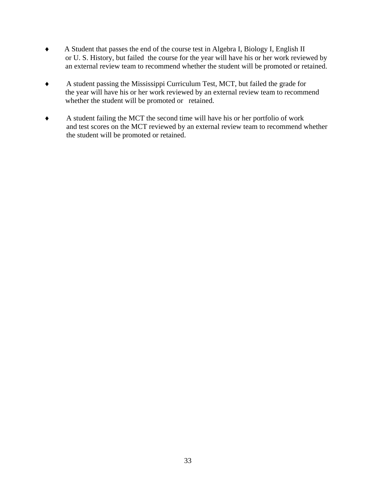- ♦ A Student that passes the end of the course test in Algebra I, Biology I, English II or U. S. History, but failed the course for the year will have his or her work reviewed by an external review team to recommend whether the student will be promoted or retained.
- ♦A student passing the Mississippi Curriculum Test, MCT, but failed the grade for the year will have his or her work reviewed by an external review team to recommend whether the student will be promoted or retained.
- ♦A student failing the MCT the second time will have his or her portfolio of work and test scores on the MCT reviewed by an external review team to recommend whether the student will be promoted or retained.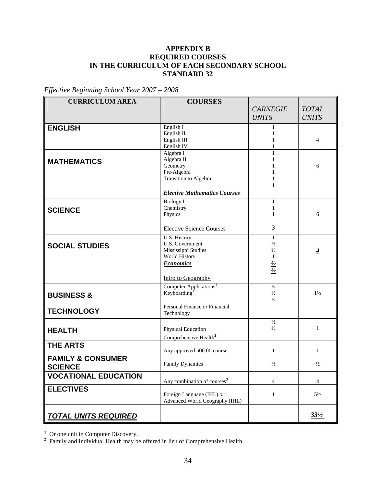#### **APPENDIX B REQUIRED COURSES IN THE CURRICULUM OF EACH SECONDARY SCHOOL STANDARD 32**

*Effective Beginning School Year 2007 – 2008* 

| <b>CURRICULUM AREA</b>       | <b>COURSES</b>                          |                 |                 |
|------------------------------|-----------------------------------------|-----------------|-----------------|
|                              |                                         | <b>CARNEGIE</b> | <b>TOTAL</b>    |
|                              |                                         | <b>UNITS</b>    | <b>UNITS</b>    |
| <b>ENGLISH</b>               | English I                               | 1               |                 |
|                              | English II                              | 1               |                 |
|                              | English III                             | 1               | $\overline{4}$  |
|                              | English IV                              | 1               |                 |
|                              | Algebra I                               | $\mathbf{1}$    |                 |
| <b>MATHEMATICS</b>           | Algebra II                              | 1               |                 |
|                              | Geometry                                | 1               | 6               |
|                              | Pre-Algebra                             |                 |                 |
|                              | Transition to Algebra                   | 1               |                 |
|                              | <b>Elective Mathematics Courses</b>     |                 |                 |
|                              | <b>Biology I</b>                        | 1               |                 |
| <b>SCIENCE</b>               | Chemistry                               | 1               |                 |
|                              | Physics                                 | 1               | 6               |
|                              | <b>Elective Science Courses</b>         | 3               |                 |
|                              | U.S. History                            | 1               |                 |
| <b>SOCIAL STUDIES</b>        | U.S. Government                         | $\frac{1}{2}$   |                 |
|                              | Mississippi Studies                     | $\frac{1}{2}$   | $\overline{4}$  |
|                              | World History                           | $\mathbf{1}$    |                 |
|                              | <b>Economics</b>                        | $\frac{1}{2}$   |                 |
|                              |                                         |                 |                 |
|                              | Intro to Geography                      |                 |                 |
|                              | Computer Applications <sup>1</sup>      | $\frac{1}{2}$   |                 |
| <b>BUSINESS &amp;</b>        | Keyboarding <sup>1</sup>                | $\frac{1}{2}$   | $1\frac{1}{2}$  |
|                              |                                         | $\frac{1}{2}$   |                 |
|                              | Personal Finance or Financial           |                 |                 |
| <b>TECHNOLOGY</b>            | Technology                              |                 |                 |
|                              |                                         | $\frac{1}{2}$   |                 |
| <b>HEALTH</b>                | Physical Education                      | $\frac{1}{2}$   | $\mathbf{1}$    |
|                              | Comprehensive Health <sup>2</sup>       |                 |                 |
| <b>THE ARTS</b>              | Any approved 500.00 course              | 1               | 1               |
| <b>FAMILY &amp; CONSUMER</b> |                                         |                 |                 |
| <b>SCIENCE</b>               | Family Dynamics                         | $\frac{1}{2}$   | $\frac{1}{2}$   |
| <b>VOCATIONAL EDUCATION</b>  |                                         |                 |                 |
|                              | Any combination of courses <sup>3</sup> | 4               | 4               |
| <b>ELECTIVES</b>             | Foreign Language (IHL) or               | $\mathbf{1}$    | $5\frac{1}{2}$  |
|                              | Advanced World Geography (IHL)          |                 |                 |
|                              |                                         |                 |                 |
| <b>TOTAL UNITS REQUIRED</b>  |                                         |                 | $33\frac{1}{2}$ |

<sup>1</sup> Or one unit in Computer Discovery.<br><sup>2</sup> Family and Individual Health may be offered in lieu of Comprehensive Health.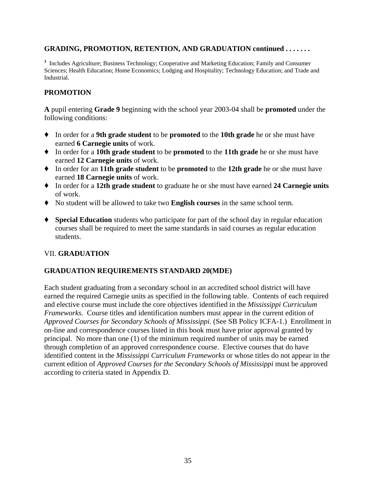#### **GRADING, PROMOTION, RETENTION, AND GRADUATION continued . . . . . . .**

**<sup>3</sup>** Includes Agriculture; Business Technology; Cooperative and Marketing Education; Family and Consumer Sciences; Health Education; Home Economics; Lodging and Hospitality; Technology Education; and Trade and Industrial.

#### **PROMOTION**

**A** pupil entering **Grade 9** beginning with the school year 2003-04 shall be **promoted** under the following conditions:

- ' In order for a **9th grade student** to be **promoted** to the **10th grade** he or she must have earned **6 Carnegie units** of work.
- ' In order for a **10th grade student** to be **promoted** to the **11th grade** he or she must have earned **12 Carnegie units** of work.
- ' In order for an **11th grade student** to be **promoted** to the **12th grade** he or she must have earned **18 Carnegie units** of work.
- ' In order for a **12th grade student** to graduate he or she must have earned **24 Carnegie units**  of work.
- ' No student will be allowed to take two **English courses** in the same school term.
- ' **Special Education** students who participate for part of the school day in regular education courses shall be required to meet the same standards in said courses as regular education students.

#### VII. **GRADUATION**

#### **GRADUATION REQUIREMENTS STANDARD 20(MDE)**

Each student graduating from a secondary school in an accredited school district will have earned the required Carnegie units as specified in the following table. Contents of each required and elective course must include the core objectives identified in the *Mississippi Curriculum Frameworks.* Course titles and identification numbers must appear in the current edition of *Approved Courses for Secondary Schools of Mississippi.* (See SB Policy ICFA-1.) Enrollment in on-line and correspondence courses listed in this book must have prior approval granted by principal. No more than one (1) of the minimum required number of units may be earned through completion of an approved correspondence course. Elective courses that do have identified content in the *Mississippi Curriculum Frameworks* or whose titles do not appear in the current edition of *Approved Courses for the Secondary Schools of Mississippi* must be approved according to criteria stated in Appendix D.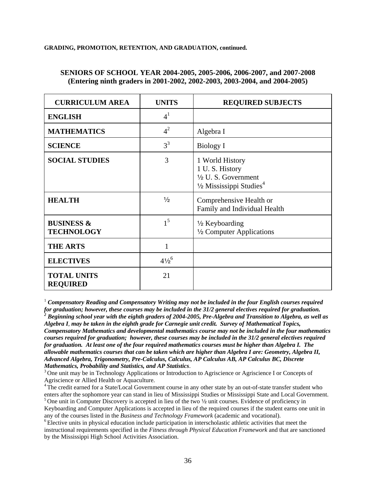#### **GRADING, PROMOTION, RETENTION, AND GRADUATION, continued.**

#### **SENIORS OF SCHOOL YEAR 2004-2005, 2005-2006, 2006-2007, and 2007-2008 (Entering ninth graders in 2001-2002, 2002-2003, 2003-2004, and 2004-2005)**

| <b>CURRICULUM AREA</b>                     | <b>UNITS</b>       | <b>REQUIRED SUBJECTS</b>                                                                                   |
|--------------------------------------------|--------------------|------------------------------------------------------------------------------------------------------------|
| <b>ENGLISH</b>                             | 4 <sup>1</sup>     |                                                                                                            |
| <b>MATHEMATICS</b>                         | $4^2$              | Algebra I                                                                                                  |
| <b>SCIENCE</b>                             | $3^3$              | <b>Biology I</b>                                                                                           |
| <b>SOCIAL STUDIES</b>                      | 3                  | 1 World History<br>1 U.S. History<br>1/2 U.S. Government<br>$\frac{1}{2}$ Mississippi Studies <sup>4</sup> |
| <b>HEALTH</b>                              | $\frac{1}{2}$      | Comprehensive Health or<br>Family and Individual Health                                                    |
| <b>BUSINESS &amp;</b><br><b>TECHNOLOGY</b> | 1 <sup>5</sup>     | 1/2 Keyboarding<br>1/2 Computer Applications                                                               |
| <b>THE ARTS</b>                            | $\mathbf{1}$       |                                                                                                            |
| <b>ELECTIVES</b>                           | $4\frac{1}{2}^{6}$ |                                                                                                            |
| <b>TOTAL UNITS</b><br><b>REQUIRED</b>      | 21                 |                                                                                                            |

 $^1$  Compensatory Reading and Compensatory Writing may not be included in the four English courses required for graduation; however, these courses may be included in the 31/2 general electives required for graduation.<br><sup>2</sup> Beginning school year with the eighth graders of 2004-2005, Pre-Algebra and Transition to Algebra, as well a

*Algebra I*, *may be taken in the eighth grade for Carnegie unit credit. Survey of Mathematical Topics, Compensatory Mathematics and developmental mathematics course may not be included in the four mathematics courses required for graduation; however, these courses may be included in the 31/2 general electives required for graduation. At least one of the four required mathematics courses must be higher than Algebra I. The allowable mathematics courses that can be taken which are higher than Algebra I are: Geometry, Algebra II, Advanced Algebra, Trigonometry, Pre-Calculus, Calculus, AP Calculus AB, AP Calculus BC, Discrete Mathematics, Probability and Statistics, and AP Statistics*.<br><sup>3</sup> One unit may be in Technology Applications or Introduction to Agriscience or Agriscience I or Concepts of

Agriscience or Allied Health or Aquaculture.

<sup>4</sup> The credit earned for a State/Local Government course in any other state by an out-of-state transfer student who enters after the sophomore year can stand in lieu of Mississippi Studies or Mississippi State and Local Government.

<sup>5</sup> One unit in Computer Discovery is accepted in lieu of the two  $\frac{1}{2}$  unit courses. Evidence of proficiency in Keyboarding and Computer Applications is accepted in lieu of the required courses if the student earns one unit in any of the courses listed in the *Business and Technology Framework* (academic and vocational). <sup>6</sup> Elective units in physical education include participation in interscholastic athletic activities that meet the

instructional requirements specified in the *Fitness through Physical Education Framework* and that are sanctioned by the Mississippi High School Activities Association.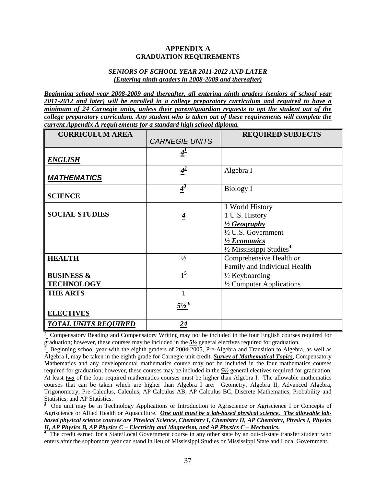#### **APPENDIX A GRADUATION REQUIREMENTS**

#### *SENIORS OF SCHOOL YEAR 2011-2012 AND LATER (Entering ninth graders in 2008-2009 and thereafter)*

*Beginning school year 2008-2009 and thereafter, all entering ninth graders (seniors of school year 2011-2012 and later) will be enrolled in a college preparatory curriculum and required to have a minimum of 24 Carnegie units, unless their parent/guardian requests to opt the student out of the college preparatory curriculum. Any student who is taken out of these requirements will complete the current Appendix A requirements for a standard high school diploma.*

| <b>CURRICULUM AREA</b>      |                          | <b>REQUIRED SUBJECTS</b>             |
|-----------------------------|--------------------------|--------------------------------------|
|                             | <b>CARNEGIE UNITS</b>    |                                      |
|                             | 4 <sup>1</sup>           |                                      |
| <b>ENGLISH</b>              |                          |                                      |
|                             | $4^2$                    | Algebra I                            |
| <b>MATHEMATICS</b>          |                          |                                      |
|                             | $\frac{4}{3}$            | Biology I                            |
| <b>SCIENCE</b>              |                          |                                      |
|                             |                          | 1 World History                      |
| <b>SOCIAL STUDIES</b>       | $\overline{4}$           | 1 U.S. History                       |
|                             |                          | $\frac{1}{2}$ Geography              |
|                             |                          | 1/2 U.S. Government                  |
|                             |                          | 1/2 Economics                        |
|                             |                          | 1/2 Mississippi Studies <sup>4</sup> |
| <b>HEALTH</b>               | $\frac{1}{2}$            | Comprehensive Health or              |
|                             |                          | Family and Individual Health         |
| <b>BUSINESS &amp;</b>       | $1^5$                    | $\frac{1}{2}$ Keyboarding            |
| <b>TECHNOLOGY</b>           |                          | 1/2 Computer Applications            |
| <b>THE ARTS</b>             |                          |                                      |
|                             | $\frac{5\frac{1}{2}}{6}$ |                                      |
| <b>ELECTIVES</b>            |                          |                                      |
| <b>TOTAL UNITS REQUIRED</b> | $\overline{24}$          |                                      |

<sup>1</sup> Compensatory Reading and Compensatory Writing may not be included in the four English courses required for graduation; however, these courses may be included in the  $\frac{5\frac{1}{2}}{2}$  general electives required for graduation.<br><sup>2</sup> Beginning school year with the eighth graders of 2004-2005, Pre-Algebra and Transition to Algebra,

Algebra I, may be taken in the eighth grade for Carnegie unit credit. *Survey of Mathematical Topics*, Compensatory Mathematics and any developmental mathematics course may not be included in the four mathematics courses required for graduation; however, these courses may be included in the *5½* general electives required for graduation. At least *two* of the four required mathematics courses must be higher than Algebra I. The allowable mathematics courses that can be taken which are higher than Algebra I are: Geometry, Algebra II, Advanced Algebra, Trigonometry, Pre-Calculus, Calculus, AP Calculus AB, AP Calculus BC, Discrete Mathematics, Probability and Statistics, and AP Statistics.

<sup>3</sup> One unit may be in Technology Applications or Introduction to Agriscience or Agriscience I or Concepts of Agriscience or Allied Health or Aquaculture. *One unit must be a lab-based physical science. The allowable labbased physical science courses are Physical Science, Chemistry I, Chemistry II, AP Chemistry, Physics I, Physics II, AP Physics B, AP Physics C – Electricity and Magnetism, and AP Physics C – Mechanics.* **<sup>4</sup>**

 The credit earned for a State/Local Government course in any other state by an out-of-state transfer student who enters after the sophomore year can stand in lieu of Mississippi Studies or Mississippi State and Local Government.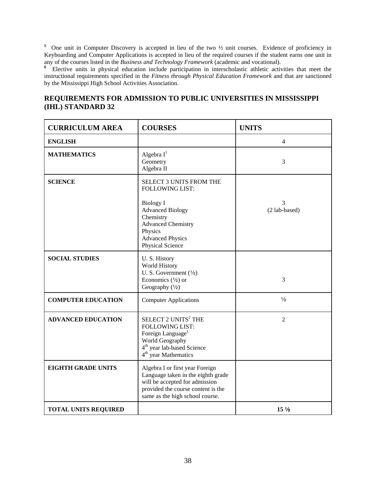<sup>5</sup> One unit in Computer Discovery is accepted in lieu of the two  $\frac{1}{2}$  unit courses. Evidence of proficiency in Keyboarding and Computer Applications is accepted in lieu of the required courses if the student earns one unit in any of the courses listed in the *Business and Technology Framework* (academic and vocational).

<sup>6</sup> Elective units in physical education include participation in interscholastic athletic activities that meet the instructional requirements specified in the *Fitness through Physical Education Framework* and that are sanctioned by the Mississippi High School Activities Association.

# **REQUIREMENTS FOR ADMISSION TO PUBLIC UNIVERSITIES IN MISSISSIPPI (IHL) STANDARD 32**

| <b>CURRICULUM AREA</b>      | <b>COURSES</b>                                                                                                                                                                                              | <b>UNITS</b>       |
|-----------------------------|-------------------------------------------------------------------------------------------------------------------------------------------------------------------------------------------------------------|--------------------|
| <b>ENGLISH</b>              |                                                                                                                                                                                                             | 4                  |
| <b>MATHEMATICS</b>          | Algebra $I^1$<br>Geometry<br>Algebra II                                                                                                                                                                     | 3                  |
| <b>SCIENCE</b>              | <b>SELECT 3 UNITS FROM THE</b><br><b>FOLLOWING LIST:</b><br><b>Biology I</b><br><b>Advanced Biology</b><br>Chemistry<br><b>Advanced Chemistry</b><br>Physics<br><b>Advanced Physics</b><br>Physical Science | 3<br>(2 lab-based) |
| <b>SOCIAL STUDIES</b>       | U.S. History<br>World History<br>U. S. Government $(\frac{1}{2})$<br>Economics $(\frac{1}{2})$ or<br>Geography (1/2)                                                                                        | 3                  |
| <b>COMPUTER EDUCATION</b>   | <b>Computer Applications</b>                                                                                                                                                                                | $\frac{1}{2}$      |
| <b>ADVANCED EDUCATION</b>   | SELECT 2 UNITS <sup>2</sup> THE<br><b>FOLLOWING LIST:</b><br>Foreign Language <sup>1</sup><br>World Geography<br>4 <sup>th</sup> year lab-based Science<br>4 <sup>th</sup> year Mathematics                 | $\overline{2}$     |
| <b>EIGHTH GRADE UNITS</b>   | Algebra I or first year Foreign<br>Language taken in the eighth grade<br>will be accepted for admission<br>provided the course content is the<br>same as the high school course.                            |                    |
| <b>TOTAL UNITS REQUIRED</b> |                                                                                                                                                                                                             | 15 <sub>2</sub>    |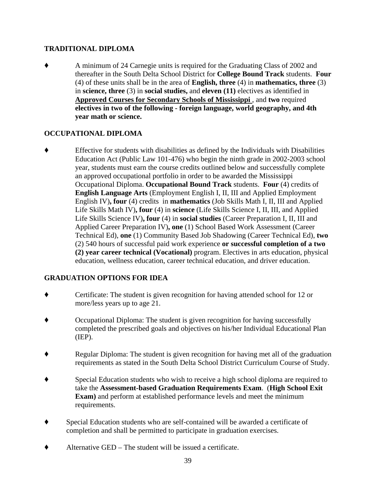#### **TRADITIONAL DIPLOMA**

' A minimum of 24 Carnegie units is required for the Graduating Class of 2002 and thereafter in the South Delta School District for **College Bound Track** students. **Four** (4) of these units shall be in the area of **English, three** (4) in **mathematics, three** (3) in **science, three** (3) in **social studies,** and **eleven (11)** electives as identified in **Approved Courses for Secondary Schools of Mississippi** , and **two** required **electives in two of the following - foreign language, world geography, and 4th year math or science.** 

#### **OCCUPATIONAL DIPLOMA**

' Effective for students with disabilities as defined by the Individuals with Disabilities Education Act (Public Law 101-476) who begin the ninth grade in 2002-2003 school year, students must earn the course credits outlined below and successfully complete an approved occupational portfolio in order to be awarded the Mississippi Occupational Diploma. **Occupational Bound Track** students. **Four** (4) credits of **English Language Arts** (Employment English I, II, III and Applied Employment English IV)**, four** (4) credits in **mathematics** (Job Skills Math I, II, III and Applied Life Skills Math IV)**, four** (4) in **science** (Life Skills Science I, II, III, and Applied Life Skills Science IV)**, four** (4) in **social studies** (Career Preparation I, II, III and Applied Career Preparation IV)**, one** (1) School Based Work Assessment (Career Technical Ed), **one** (1) Community Based Job Shadowing (Career Technical Ed), **two**  (2) 540 hours of successful paid work experience **or successful completion of a two (2) year career technical (Vocational)** program. Electives in arts education, physical education, wellness education, career technical education, and driver education.

#### **GRADUATION OPTIONS FOR IDEA**

- ' Certificate: The student is given recognition for having attended school for 12 or more/less years up to age 21.
- ' Occupational Diploma: The student is given recognition for having successfully completed the prescribed goals and objectives on his/her Individual Educational Plan (IEP).
- Regular Diploma: The student is given recognition for having met all of the graduation requirements as stated in the South Delta School District Curriculum Course of Study.
- Special Education students who wish to receive a high school diploma are required to take the **Assessment-based Graduation Requirements Exam**. (**High School Exit Exam)** and perform at established performance levels and meet the minimum requirements.
- ' Special Education students who are self-contained will be awarded a certificate of completion and shall be permitted to participate in graduation exercises.
- $\blacklozenge$  Alternative GED The student will be issued a certificate.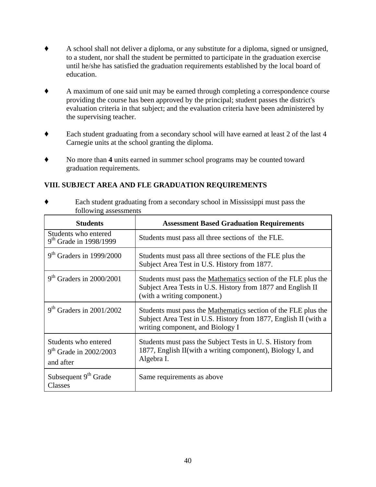- ' A school shall not deliver a diploma, or any substitute for a diploma, signed or unsigned, to a student, nor shall the student be permitted to participate in the graduation exercise until he/she has satisfied the graduation requirements established by the local board of education.
- ' A maximum of one said unit may be earned through completing a correspondence course providing the course has been approved by the principal; student passes the district's evaluation criteria in that subject; and the evaluation criteria have been administered by the supervising teacher.
- ' Each student graduating from a secondary school will have earned at least 2 of the last 4 Carnegie units at the school granting the diploma.
- ' No more than **4** units earned in summer school programs may be counted toward graduation requirements.

#### **VIII. SUBJECT AREA AND FLE GRADUATION REQUIREMENTS**

' Each student graduating from a secondary school in Mississippi must pass the following assessments

| <b>Students</b>                                               | <b>Assessment Based Graduation Requirements</b>                                                                                                                       |
|---------------------------------------------------------------|-----------------------------------------------------------------------------------------------------------------------------------------------------------------------|
| Students who entered<br>9 <sup>th</sup> Grade in 1998/1999    | Students must pass all three sections of the FLE.                                                                                                                     |
| $9th$ Graders in 1999/2000                                    | Students must pass all three sections of the FLE plus the<br>Subject Area Test in U.S. History from 1877.                                                             |
| $9th$ Graders in 2000/2001                                    | Students must pass the Mathematics section of the FLE plus the<br>Subject Area Tests in U.S. History from 1877 and English II<br>(with a writing component.)          |
| $9th$ Graders in 2001/2002                                    | Students must pass the Mathematics section of the FLE plus the<br>Subject Area Test in U.S. History from 1877, English II (with a<br>writing component, and Biology I |
| Students who entered<br>$9th$ Grade in 2002/2003<br>and after | Students must pass the Subject Tests in U.S. History from<br>1877, English II (with a writing component), Biology I, and<br>Algebra I.                                |
| Subsequent 9 <sup>th</sup> Grade<br>Classes                   | Same requirements as above                                                                                                                                            |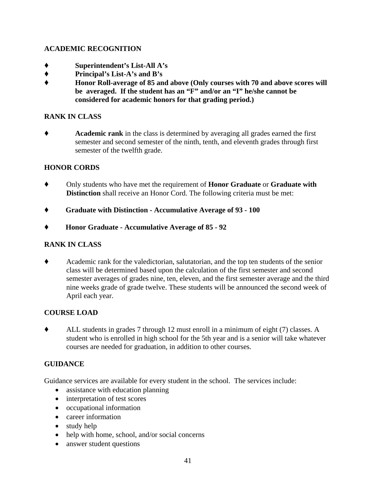#### **ACADEMIC RECOGNITION**

- ' **Superintendent's List-All A's**
- ' **Principal's List-A's and B's**
- ' **Honor Roll-average of 85 and above (Only courses with 70 and above scores will be averaged. If the student has an "F" and/or an "I" he/she cannot be considered for academic honors for that grading period.)**

#### **RANK IN CLASS**

' **Academic rank** in the class is determined by averaging all grades earned the first semester and second semester of the ninth, tenth, and eleventh grades through first semester of the twelfth grade.

#### **HONOR CORDS**

- ' Only students who have met the requirement of **Honor Graduate** or **Graduate with Distinction** shall receive an Honor Cord. The following criteria must be met:
- ' **Graduate with Distinction Accumulative Average of 93 100**
- ' **Honor Graduate Accumulative Average of 85 92**

#### **RANK IN CLASS**

' Academic rank for the valedictorian, salutatorian, and the top ten students of the senior class will be determined based upon the calculation of the first semester and second semester averages of grades nine, ten, eleven, and the first semester average and the third nine weeks grade of grade twelve. These students will be announced the second week of April each year.

#### **COURSE LOAD**

' ALL students in grades 7 through 12 must enroll in a minimum of eight (7) classes. A student who is enrolled in high school for the 5th year and is a senior will take whatever courses are needed for graduation, in addition to other courses.

#### **GUIDANCE**

Guidance services are available for every student in the school. The services include:

- assistance with education planning
- interpretation of test scores
- occupational information
- career information
- study help
- help with home, school, and/or social concerns
- answer student questions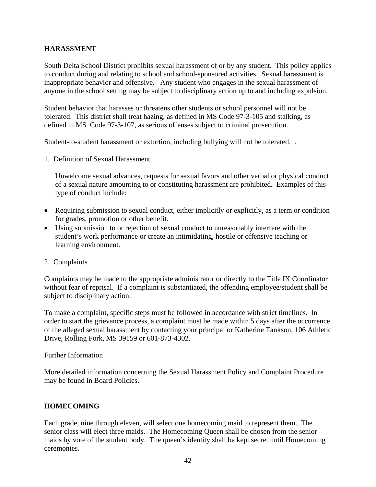#### **HARASSMENT**

South Delta School District prohibits sexual harassment of or by any student. This policy applies to conduct during and relating to school and school-sponsored activities. Sexual harassment is inappropriate behavior and offensive. Any student who engages in the sexual harassment of anyone in the school setting may be subject to disciplinary action up to and including expulsion.

Student behavior that harasses or threatens other students or school personnel will not be tolerated. This district shall treat hazing, as defined in MS Code 97-3-105 and stalking, as defined in MS Code 97-3-107, as serious offenses subject to criminal prosecution.

Student-to-student harassment or extortion, including bullying will not be tolerated. .

1. Definition of Sexual Harassment

Unwelcome sexual advances, requests for sexual favors and other verbal or physical conduct of a sexual nature amounting to or constituting harassment are prohibited. Examples of this type of conduct include:

- Requiring submission to sexual conduct, either implicitly or explicitly, as a term or condition for grades, promotion or other benefit.
- Using submission to or rejection of sexual conduct to unreasonably interfere with the student's work performance or create an intimidating, hostile or offensive teaching or learning environment.
- 2. Complaints

Complaints may be made to the appropriate administrator or directly to the Title IX Coordinator without fear of reprisal. If a complaint is substantiated, the offending employee/student shall be subject to disciplinary action.

To make a complaint, specific steps must be followed in accordance with strict timelines. In order to start the grievance process, a complaint must be made within 5 days after the occurrence of the alleged sexual harassment by contacting your principal or Katherine Tankson, 106 Athletic Drive, Rolling Fork, MS 39159 or 601-873-4302.

#### Further Information

More detailed information concerning the Sexual Harassment Policy and Complaint Procedure may be found in Board Policies.

#### **HOMECOMING**

Each grade, nine through eleven, will select one homecoming maid to represent them. The senior class will elect three maids. The Homecoming Queen shall be chosen from the senior maids by vote of the student body. The queen's identity shall be kept secret until Homecoming ceremonies.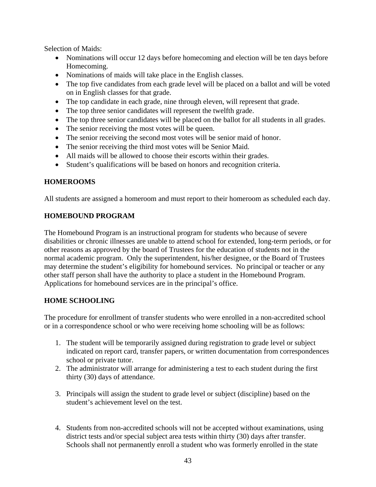Selection of Maids:

- Nominations will occur 12 days before homecoming and election will be ten days before Homecoming.
- Nominations of maids will take place in the English classes.
- The top five candidates from each grade level will be placed on a ballot and will be voted on in English classes for that grade.
- The top candidate in each grade, nine through eleven, will represent that grade.
- The top three senior candidates will represent the twelfth grade.
- The top three senior candidates will be placed on the ballot for all students in all grades.
- The senior receiving the most votes will be queen.
- The senior receiving the second most votes will be senior maid of honor.
- The senior receiving the third most votes will be Senior Maid.
- All maids will be allowed to choose their escorts within their grades.
- Student's qualifications will be based on honors and recognition criteria.

#### **HOMEROOMS**

All students are assigned a homeroom and must report to their homeroom as scheduled each day.

#### **HOMEBOUND PROGRAM**

The Homebound Program is an instructional program for students who because of severe disabilities or chronic illnesses are unable to attend school for extended, long-term periods, or for other reasons as approved by the board of Trustees for the education of students not in the normal academic program. Only the superintendent, his/her designee, or the Board of Trustees may determine the student's eligibility for homebound services. No principal or teacher or any other staff person shall have the authority to place a student in the Homebound Program. Applications for homebound services are in the principal's office.

#### **HOME SCHOOLING**

The procedure for enrollment of transfer students who were enrolled in a non-accredited school or in a correspondence school or who were receiving home schooling will be as follows:

- 1. The student will be temporarily assigned during registration to grade level or subject indicated on report card, transfer papers, or written documentation from correspondences school or private tutor.
- 2. The administrator will arrange for administering a test to each student during the first thirty (30) days of attendance.
- 3. Principals will assign the student to grade level or subject (discipline) based on the student's achievement level on the test.
- 4. Students from non-accredited schools will not be accepted without examinations, using district tests and/or special subject area tests within thirty (30) days after transfer. Schools shall not permanently enroll a student who was formerly enrolled in the state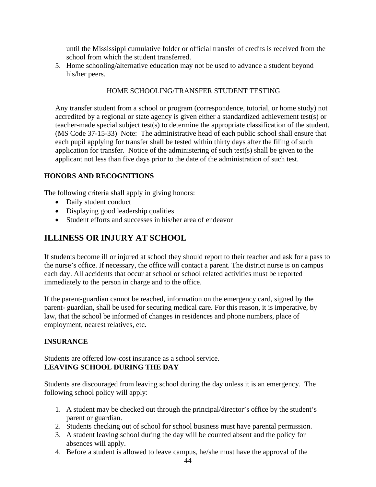until the Mississippi cumulative folder or official transfer of credits is received from the school from which the student transferred.

5. Home schooling/alternative education may not be used to advance a student beyond his/her peers.

#### HOME SCHOOLING/TRANSFER STUDENT TESTING

Any transfer student from a school or program (correspondence, tutorial, or home study) not accredited by a regional or state agency is given either a standardized achievement test(s) or teacher-made special subject test(s) to determine the appropriate classification of the student. (MS Code 37-15-33) Note: The administrative head of each public school shall ensure that each pupil applying for transfer shall be tested within thirty days after the filing of such application for transfer. Notice of the administering of such test(s) shall be given to the applicant not less than five days prior to the date of the administration of such test.

#### **HONORS AND RECOGNITIONS**

The following criteria shall apply in giving honors:

- Daily student conduct
- Displaying good leadership qualities
- Student efforts and successes in his/her area of endeavor

## **ILLINESS OR INJURY AT SCHOOL**

If students become ill or injured at school they should report to their teacher and ask for a pass to the nurse's office. If necessary, the office will contact a parent. The district nurse is on campus each day. All accidents that occur at school or school related activities must be reported immediately to the person in charge and to the office.

If the parent-guardian cannot be reached, information on the emergency card, signed by the parent- guardian, shall be used for securing medical care. For this reason, it is imperative, by law, that the school be informed of changes in residences and phone numbers, place of employment, nearest relatives, etc.

#### **INSURANCE**

Students are offered low-cost insurance as a school service. **LEAVING SCHOOL DURING THE DAY** 

Students are discouraged from leaving school during the day unless it is an emergency. The following school policy will apply:

- 1. A student may be checked out through the principal/director's office by the student's parent or guardian.
- 2. Students checking out of school for school business must have parental permission.
- 3. A student leaving school during the day will be counted absent and the policy for absences will apply.
- 4. Before a student is allowed to leave campus, he/she must have the approval of the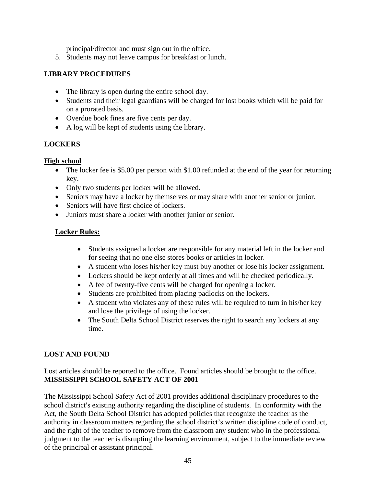principal/director and must sign out in the office.

5. Students may not leave campus for breakfast or lunch.

#### **LIBRARY PROCEDURES**

- The library is open during the entire school day.
- Students and their legal guardians will be charged for lost books which will be paid for on a prorated basis.
- Overdue book fines are five cents per day.
- A log will be kept of students using the library.

#### **LOCKERS**

#### **High school**

- The locker fee is \$5.00 per person with \$1.00 refunded at the end of the year for returning key.
- Only two students per locker will be allowed.
- Seniors may have a locker by themselves or may share with another senior or junior.
- Seniors will have first choice of lockers.
- Juniors must share a locker with another junior or senior.

#### **Locker Rules:**

- Students assigned a locker are responsible for any material left in the locker and for seeing that no one else stores books or articles in locker.
- A student who loses his/her key must buy another or lose his locker assignment.
- Lockers should be kept orderly at all times and will be checked periodically.
- A fee of twenty-five cents will be charged for opening a locker.
- Students are prohibited from placing padlocks on the lockers.
- A student who violates any of these rules will be required to turn in his/her key and lose the privilege of using the locker.
- The South Delta School District reserves the right to search any lockers at any time.

#### **LOST AND FOUND**

Lost articles should be reported to the office. Found articles should be brought to the office. **MISSISSIPPI SCHOOL SAFETY ACT OF 2001** 

The Mississippi School Safety Act of 2001 provides additional disciplinary procedures to the school district's existing authority regarding the discipline of students. In conformity with the Act, the South Delta School District has adopted policies that recognize the teacher as the authority in classroom matters regarding the school district's written discipline code of conduct, and the right of the teacher to remove from the classroom any student who in the professional judgment to the teacher is disrupting the learning environment, subject to the immediate review of the principal or assistant principal.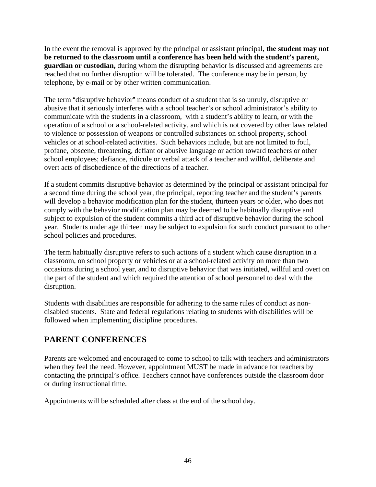In the event the removal is approved by the principal or assistant principal, **the student may not be returned to the classroom until a conference has been held with the student's parent, guardian or custodian,** during whom the disrupting behavior is discussed and agreements are reached that no further disruption will be tolerated. The conference may be in person, by telephone, by e-mail or by other written communication.

The term "disruptive behavior" means conduct of a student that is so unruly, disruptive or abusive that it seriously interferes with a school teacher's or school administrator's ability to communicate with the students in a classroom, with a student's ability to learn, or with the operation of a school or a school-related activity, and which is not covered by other laws related to violence or possession of weapons or controlled substances on school property, school vehicles or at school-related activities. Such behaviors include, but are not limited to foul, profane, obscene, threatening, defiant or abusive language or action toward teachers or other school employees; defiance, ridicule or verbal attack of a teacher and willful, deliberate and overt acts of disobedience of the directions of a teacher.

If a student commits disruptive behavior as determined by the principal or assistant principal for a second time during the school year, the principal, reporting teacher and the student's parents will develop a behavior modification plan for the student, thirteen years or older, who does not comply with the behavior modification plan may be deemed to be habitually disruptive and subject to expulsion of the student commits a third act of disruptive behavior during the school year. Students under age thirteen may be subject to expulsion for such conduct pursuant to other school policies and procedures.

The term habitually disruptive refers to such actions of a student which cause disruption in a classroom, on school property or vehicles or at a school-related activity on more than two occasions during a school year, and to disruptive behavior that was initiated, willful and overt on the part of the student and which required the attention of school personnel to deal with the disruption.

Students with disabilities are responsible for adhering to the same rules of conduct as nondisabled students. State and federal regulations relating to students with disabilities will be followed when implementing discipline procedures.

# **PARENT CONFERENCES**

Parents are welcomed and encouraged to come to school to talk with teachers and administrators when they feel the need. However, appointment MUST be made in advance for teachers by contacting the principal's office. Teachers cannot have conferences outside the classroom door or during instructional time.

Appointments will be scheduled after class at the end of the school day.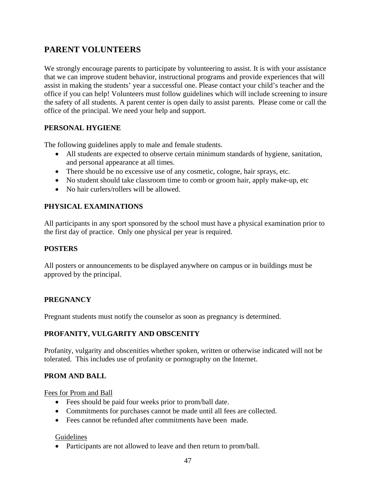# **PARENT VOLUNTEERS**

We strongly encourage parents to participate by volunteering to assist. It is with your assistance that we can improve student behavior, instructional programs and provide experiences that will assist in making the students' year a successful one. Please contact your child's teacher and the office if you can help! Volunteers must follow guidelines which will include screening to insure the safety of all students. A parent center is open daily to assist parents. Please come or call the office of the principal. We need your help and support.

#### **PERSONAL HYGIENE**

The following guidelines apply to male and female students.

- All students are expected to observe certain minimum standards of hygiene, sanitation, and personal appearance at all times.
- There should be no excessive use of any cosmetic, cologne, hair sprays, etc.
- No student should take classroom time to comb or groom hair, apply make-up, etc
- No hair curlers/rollers will be allowed.

#### **PHYSICAL EXAMINATIONS**

All participants in any sport sponsored by the school must have a physical examination prior to the first day of practice. Only one physical per year is required.

#### **POSTERS**

All posters or announcements to be displayed anywhere on campus or in buildings must be approved by the principal.

#### **PREGNANCY**

Pregnant students must notify the counselor as soon as pregnancy is determined.

#### **PROFANITY, VULGARITY AND OBSCENITY**

Profanity, vulgarity and obscenities whether spoken, written or otherwise indicated will not be tolerated. This includes use of profanity or pornography on the Internet.

#### **PROM AND BALL**

Fees for Prom and Ball

- Fees should be paid four weeks prior to prom/ball date.
- Commitments for purchases cannot be made until all fees are collected.
- Fees cannot be refunded after commitments have been made.

#### Guidelines

• Participants are not allowed to leave and then return to prom/ball.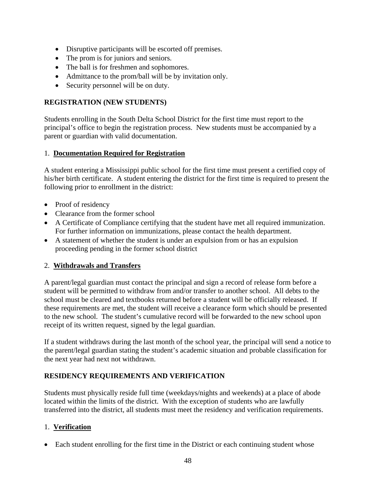- Disruptive participants will be escorted off premises.
- The prom is for juniors and seniors.
- The ball is for freshmen and sophomores.
- Admittance to the prom/ball will be by invitation only.
- Security personnel will be on duty.

#### **REGISTRATION (NEW STUDENTS)**

Students enrolling in the South Delta School District for the first time must report to the principal's office to begin the registration process. New students must be accompanied by a parent or guardian with valid documentation.

#### 1. **Documentation Required for Registration**

A student entering a Mississippi public school for the first time must present a certified copy of his/her birth certificate. A student entering the district for the first time is required to present the following prior to enrollment in the district:

- Proof of residency
- Clearance from the former school
- A Certificate of Compliance certifying that the student have met all required immunization. For further information on immunizations, please contact the health department.
- A statement of whether the student is under an expulsion from or has an expulsion proceeding pending in the former school district

#### 2. **Withdrawals and Transfers**

A parent/legal guardian must contact the principal and sign a record of release form before a student will be permitted to withdraw from and/or transfer to another school. All debts to the school must be cleared and textbooks returned before a student will be officially released. If these requirements are met, the student will receive a clearance form which should be presented to the new school. The student's cumulative record will be forwarded to the new school upon receipt of its written request, signed by the legal guardian.

If a student withdraws during the last month of the school year, the principal will send a notice to the parent/legal guardian stating the student's academic situation and probable classification for the next year had next not withdrawn.

#### **RESIDENCY REQUIREMENTS AND VERIFICATION**

Students must physically reside full time (weekdays/nights and weekends) at a place of abode located within the limits of the district. With the exception of students who are lawfully transferred into the district, all students must meet the residency and verification requirements.

#### 1. **Verification**

• Each student enrolling for the first time in the District or each continuing student whose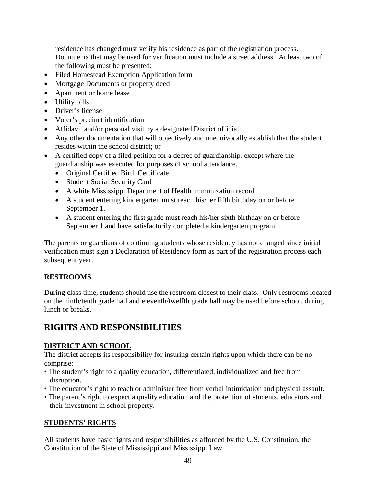residence has changed must verify his residence as part of the registration process. Documents that may be used for verification must include a street address. At least two of the following must be presented:

- Filed Homestead Exemption Application form
- Mortgage Documents or property deed
- Apartment or home lease
- Utility bills
- Driver's license
- Voter's precinct identification
- Affidavit and/or personal visit by a designated District official
- Any other documentation that will objectively and unequivocally establish that the student resides within the school district; or
- A certified copy of a filed petition for a decree of guardianship, except where the guardianship was executed for purposes of school attendance.
	- Original Certified Birth Certificate
	- Student Social Security Card
	- A white Mississippi Department of Health immunization record
	- A student entering kindergarten must reach his/her fifth birthday on or before September 1.
	- A student entering the first grade must reach his/her sixth birthday on or before September 1 and have satisfactorily completed a kindergarten program.

The parents or guardians of continuing students whose residency has not changed since initial verification must sign a Declaration of Residency form as part of the registration process each subsequent year.

#### **RESTROOMS**

During class time, students should use the restroom closest to their class. Only restrooms located on the ninth/tenth grade hall and eleventh/twelfth grade hall may be used before school, during lunch or breaks.

# **RIGHTS AND RESPONSIBILITIES**

#### **DISTRICT AND SCHOOL**

The district accepts its responsibility for insuring certain rights upon which there can be no comprise:

- The student's right to a quality education, differentiated, individualized and free from disruption.
- The educator's right to teach or administer free from verbal intimidation and physical assault.
- The parent's right to expect a quality education and the protection of students, educators and their investment in school property.

#### **STUDENTS' RIGHTS**

All students have basic rights and responsibilities as afforded by the U.S. Constitution, the Constitution of the State of Mississippi and Mississippi Law.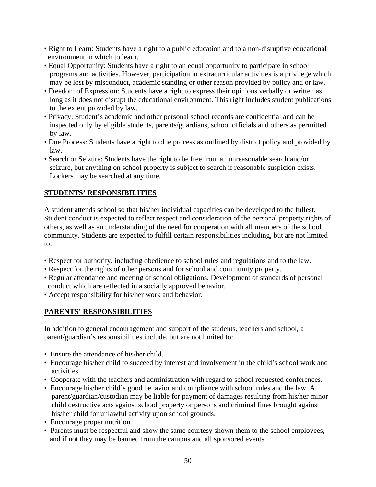- Right to Learn: Students have a right to a public education and to a non-disruptive educational environment in which to learn.
- Equal Opportunity: Students have a right to an equal opportunity to participate in school programs and activities. However, participation in extracurricular activities is a privilege which may be lost by misconduct, academic standing or other reason provided by policy and or law.
- Freedom of Expression: Students have a right to express their opinions verbally or written as long as it does not disrupt the educational environment. This right includes student publications to the extent provided by law.
- Privacy: Student's academic and other personal school records are confidential and can be inspected only by eligible students, parents/guardians, school officials and others as permitted by law.
- Due Process: Students have a right to due process as outlined by district policy and provided by law.
- Search or Seizure: Students have the right to be free from an unreasonable search and/or seizure, but anything on school property is subject to search if reasonable suspicion exists. Lockers may be searched at any time.

#### **STUDENTS' RESPONSIBILITIES**

A student attends school so that his/her individual capacities can be developed to the fullest. Student conduct is expected to reflect respect and consideration of the personal property rights of others, as well as an understanding of the need for cooperation with all members of the school community. Students are expected to fulfill certain responsibilities including, but are not limited to:

- Respect for authority, including obedience to school rules and regulations and to the law.
- Respect for the rights of other persons and for school and community property.
- Regular attendance and meeting of school obligations. Development of standards of personal conduct which are reflected in a socially approved behavior.
- Accept responsibility for his/her work and behavior.

#### **PARENTS' RESPONSIBILITIES**

In addition to general encouragement and support of the students, teachers and school, a parent/guardian's responsibilities include, but are not limited to:

- Ensure the attendance of his/her child.
- Encourage his/her child to succeed by interest and involvement in the child's school work and activities.
- Cooperate with the teachers and administration with regard to school requested conferences.
- Encourage his/her child's good behavior and compliance with school rules and the law. A parent/guardian/custodian may be liable for payment of damages resulting from his/her minor child destructive acts against school property or persons and criminal fines brought against his/her child for unlawful activity upon school grounds.
- Encourage proper nutrition.
- Parents must be respectful and show the same courtesy shown them to the school employees, and if not they may be banned from the campus and all sponsored events.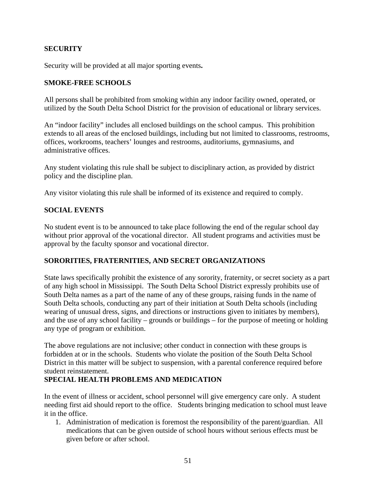#### **SECURITY**

Security will be provided at all major sporting events**.** 

#### **SMOKE-FREE SCHOOLS**

All persons shall be prohibited from smoking within any indoor facility owned, operated, or utilized by the South Delta School District for the provision of educational or library services.

An "indoor facility" includes all enclosed buildings on the school campus. This prohibition extends to all areas of the enclosed buildings, including but not limited to classrooms, restrooms, offices, workrooms, teachers' lounges and restrooms, auditoriums, gymnasiums, and administrative offices.

Any student violating this rule shall be subject to disciplinary action, as provided by district policy and the discipline plan.

Any visitor violating this rule shall be informed of its existence and required to comply.

#### **SOCIAL EVENTS**

No student event is to be announced to take place following the end of the regular school day without prior approval of the vocational director. All student programs and activities must be approval by the faculty sponsor and vocational director.

#### **SORORITIES, FRATERNITIES, AND SECRET ORGANIZATIONS**

State laws specifically prohibit the existence of any sorority, fraternity, or secret society as a part of any high school in Mississippi. The South Delta School District expressly prohibits use of South Delta names as a part of the name of any of these groups, raising funds in the name of South Delta schools, conducting any part of their initiation at South Delta schools (including wearing of unusual dress, signs, and directions or instructions given to initiates by members), and the use of any school facility – grounds or buildings – for the purpose of meeting or holding any type of program or exhibition.

The above regulations are not inclusive; other conduct in connection with these groups is forbidden at or in the schools. Students who violate the position of the South Delta School District in this matter will be subject to suspension, with a parental conference required before student reinstatement.

#### **SPECIAL HEALTH PROBLEMS AND MEDICATION**

In the event of illness or accident, school personnel will give emergency care only. A student needing first aid should report to the office. Students bringing medication to school must leave it in the office.

1. Administration of medication is foremost the responsibility of the parent/guardian. All medications that can be given outside of school hours without serious effects must be given before or after school.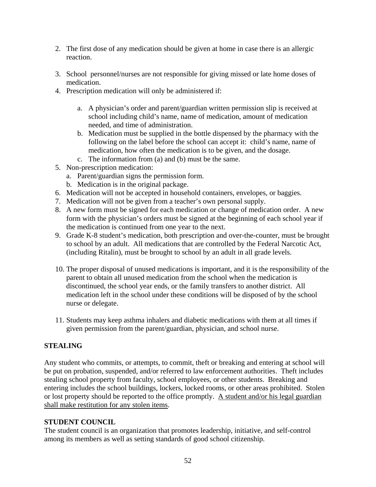- 2. The first dose of any medication should be given at home in case there is an allergic reaction.
- 3. School personnel/nurses are not responsible for giving missed or late home doses of medication.
- 4. Prescription medication will only be administered if:
	- a. A physician's order and parent/guardian written permission slip is received at school including child's name, name of medication, amount of medication needed, and time of administration.
	- b. Medication must be supplied in the bottle dispensed by the pharmacy with the following on the label before the school can accept it: child's name, name of medication, how often the medication is to be given, and the dosage.
	- c. The information from (a) and (b) must be the same.
- 5. Non-prescription medication:
	- a. Parent/guardian signs the permission form.
	- b. Medication is in the original package.
- 6. Medication will not be accepted in household containers, envelopes, or baggies.
- 7. Medication will not be given from a teacher's own personal supply.
- 8. A new form must be signed for each medication or change of medication order. A new form with the physician's orders must be signed at the beginning of each school year if the medication is continued from one year to the next.
- 9. Grade K-8 student's medication, both prescription and over-the-counter, must be brought to school by an adult. All medications that are controlled by the Federal Narcotic Act, (including Ritalin), must be brought to school by an adult in all grade levels.
- 10. The proper disposal of unused medications is important, and it is the responsibility of the parent to obtain all unused medication from the school when the medication is discontinued, the school year ends, or the family transfers to another district. All medication left in the school under these conditions will be disposed of by the school nurse or delegate.
- 11. Students may keep asthma inhalers and diabetic medications with them at all times if given permission from the parent/guardian, physician, and school nurse.

#### **STEALING**

Any student who commits, or attempts, to commit, theft or breaking and entering at school will be put on probation, suspended, and/or referred to law enforcement authorities. Theft includes stealing school property from faculty, school employees, or other students. Breaking and entering includes the school buildings, lockers, locked rooms, or other areas prohibited. Stolen or lost property should be reported to the office promptly. A student and/or his legal guardian shall make restitution for any stolen items.

#### **STUDENT COUNCIL**

The student council is an organization that promotes leadership, initiative, and self-control among its members as well as setting standards of good school citizenship.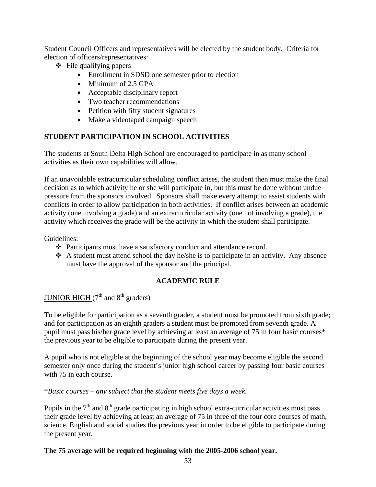Student Council Officers and representatives will be elected by the student body. Criteria for election of officers/representatives:

- $\div$  File qualifying papers
	- Enrollment in SDSD one semester prior to election
	- Minimum of 2.5 GPA
	- Acceptable disciplinary report
	- Two teacher recommendations
	- Petition with fifty student signatures
	- Make a videotaped campaign speech

#### **STUDENT PARTICIPATION IN SCHOOL ACTIVITIES**

The students at South Delta High School are encouraged to participate in as many school activities as their own capabilities will allow.

If an unavoidable extracurricular scheduling conflict arises, the student then must make the final decision as to which activity he or she will participate in, but this must be done without undue pressure from the sponsors involved. Sponsors shall make every attempt to assist students with conflicts in order to allow participation in both activities. If conflict arises between an academic activity (one involving a grade) and an extracurricular activity (one not involving a grade), the activity which receives the grade will be the activity in which the student shall participate.

#### Guidelines:

- Participants must have a satisfactory conduct and attendance record.
- $\triangle$  A student must attend school the day he/she is to participate in an activity. Any absence must have the approval of the sponsor and the principal.

#### **ACADEMIC RULE**

## JUNIOR HIGH  $(7<sup>th</sup>$  and  $8<sup>th</sup>$  graders)

To be eligible for participation as a seventh grader, a student must be promoted from sixth grade; and for participation as an eighth graders a student must be promoted from seventh grade. A pupil must pass his/her grade level by achieving at least an average of 75 in four basic courses\* the previous year to be eligible to participate during the present year.

A pupil who is not eligible at the beginning of the school year may become eligible the second semester only once during the student's junior high school career by passing four basic courses with 75 in each course.

\**Basic courses – any subject that the student meets five days a week.* 

Pupils in the  $7<sup>th</sup>$  and  $8<sup>th</sup>$  grade participating in high school extra-curricular activities must pass their grade level by achieving at least an average of 75 in three of the four core courses of math, science, English and social studies the previous year in order to be eligible to participate during the present year.

#### **The 75 average will be required beginning with the 2005-2006 school year.**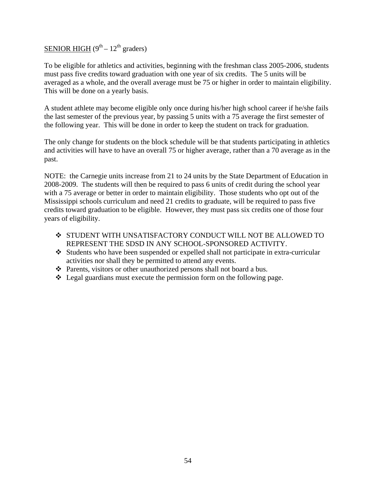# SENIOR HIGH  $(9<sup>th</sup> - 12<sup>th</sup>$  graders)

To be eligible for athletics and activities, beginning with the freshman class 2005-2006, students must pass five credits toward graduation with one year of six credits. The 5 units will be averaged as a whole, and the overall average must be 75 or higher in order to maintain eligibility. This will be done on a yearly basis.

A student athlete may become eligible only once during his/her high school career if he/she fails the last semester of the previous year, by passing 5 units with a 75 average the first semester of the following year. This will be done in order to keep the student on track for graduation.

The only change for students on the block schedule will be that students participating in athletics and activities will have to have an overall 75 or higher average, rather than a 70 average as in the past.

NOTE: the Carnegie units increase from 21 to 24 units by the State Department of Education in 2008-2009. The students will then be required to pass 6 units of credit during the school year with a 75 average or better in order to maintain eligibility. Those students who opt out of the Mississippi schools curriculum and need 21 credits to graduate, will be required to pass five credits toward graduation to be eligible. However, they must pass six credits one of those four years of eligibility.

- ◆ STUDENT WITH UNSATISFACTORY CONDUCT WILL NOT BE ALLOWED TO REPRESENT THE SDSD IN ANY SCHOOL-SPONSORED ACTIVITY.
- Students who have been suspended or expelled shall not participate in extra-curricular activities nor shall they be permitted to attend any events.
- Parents, visitors or other unauthorized persons shall not board a bus.
- $\triangleleft$  Legal guardians must execute the permission form on the following page.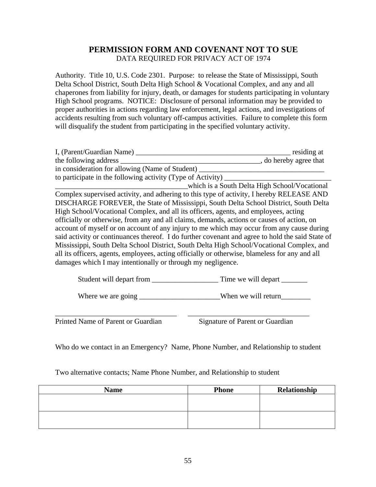#### **PERMISSION FORM AND COVENANT NOT TO SUE**  DATA REQUIRED FOR PRIVACY ACT OF 1974

Authority. Title 10, U.S. Code 2301. Purpose: to release the State of Mississippi, South Delta School District, South Delta High School & Vocational Complex, and any and all chaperones from liability for injury, death, or damages for students participating in voluntary High School programs. NOTICE: Disclosure of personal information may be provided to proper authorities in actions regarding law enforcement, legal actions, and investigations of accidents resulting from such voluntary off-campus activities. Failure to complete this form will disqualify the student from participating in the specified voluntary activity.

| I, (Parent/Guardian Name)                                                                        | residing at                                   |
|--------------------------------------------------------------------------------------------------|-----------------------------------------------|
| the following address                                                                            | , do hereby agree that                        |
| in consideration for allowing (Name of Student)                                                  |                                               |
| to participate in the following activity (Type of Activity)                                      |                                               |
|                                                                                                  | which is a South Delta High School/Vocational |
| Complex supervised activity, and adhering to this type of activity, I hereby RELEASE AND         |                                               |
| DISCHARGE FOREVER, the State of Mississippi, South Delta School District, South Delta            |                                               |
| High School/Vocational Complex, and all its officers, agents, and employees, acting              |                                               |
| officially or otherwise, from any and all claims, demands, actions or causes of action, on       |                                               |
| account of myself or on account of any injury to me which may occur from any cause during        |                                               |
| said activity or continuances thereof. I do further covenant and agree to hold the said State of |                                               |
| Mississippi, South Delta School District, South Delta High School/Vocational Complex, and        |                                               |
| all its officers, agents, employees, acting officially or otherwise, blameless for any and all   |                                               |
| damages which I may intentionally or through my negligence.                                      |                                               |
|                                                                                                  |                                               |

Student will depart from \_\_\_\_\_\_\_\_\_\_\_\_\_\_\_\_\_\_ Time we will depart \_\_\_\_\_\_\_

Where we are going \_\_\_\_\_\_\_\_\_\_\_\_\_\_\_\_\_\_\_\_\_\_\_\_When we will return

Printed Name of Parent or Guardian Signature of Parent or Guardian

Who do we contact in an Emergency? Name, Phone Number, and Relationship to student

\_\_\_\_\_\_\_\_\_\_\_\_\_\_\_\_\_\_\_\_\_\_\_\_\_\_\_\_\_\_\_\_\_ \_\_\_\_\_\_\_\_\_\_\_\_\_\_\_\_\_\_\_\_\_\_\_\_\_\_\_\_\_\_\_\_\_

Two alternative contacts; Name Phone Number, and Relationship to student

| <b>Name</b> | <b>Phone</b> | Relationship |
|-------------|--------------|--------------|
|             |              |              |
|             |              |              |
|             |              |              |
|             |              |              |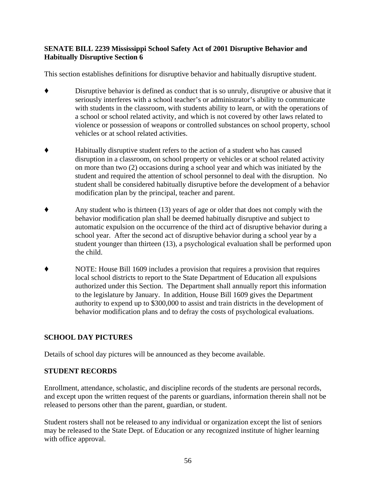#### **SENATE BILL 2239 Mississippi School Safety Act of 2001 Disruptive Behavior and Habitually Disruptive Section 6**

This section establishes definitions for disruptive behavior and habitually disruptive student.

- Disruptive behavior is defined as conduct that is so unruly, disruptive or abusive that it seriously interferes with a school teacher's or administrator's ability to communicate with students in the classroom, with students ability to learn, or with the operations of a school or school related activity, and which is not covered by other laws related to violence or possession of weapons or controlled substances on school property, school vehicles or at school related activities.
- ' Habitually disruptive student refers to the action of a student who has caused disruption in a classroom, on school property or vehicles or at school related activity on more than two (2) occasions during a school year and which was initiated by the student and required the attention of school personnel to deal with the disruption. No student shall be considered habitually disruptive before the development of a behavior modification plan by the principal, teacher and parent.
- Any student who is thirteen (13) years of age or older that does not comply with the behavior modification plan shall be deemed habitually disruptive and subject to automatic expulsion on the occurrence of the third act of disruptive behavior during a school year. After the second act of disruptive behavior during a school year by a student younger than thirteen (13), a psychological evaluation shall be performed upon the child.
- ' NOTE: House Bill 1609 includes a provision that requires a provision that requires local school districts to report to the State Department of Education all expulsions authorized under this Section. The Department shall annually report this information to the legislature by January. In addition, House Bill 1609 gives the Department authority to expend up to \$300,000 to assist and train districts in the development of behavior modification plans and to defray the costs of psychological evaluations.

#### **SCHOOL DAY PICTURES**

Details of school day pictures will be announced as they become available.

#### **STUDENT RECORDS**

Enrollment, attendance, scholastic, and discipline records of the students are personal records, and except upon the written request of the parents or guardians, information therein shall not be released to persons other than the parent, guardian, or student.

Student rosters shall not be released to any individual or organization except the list of seniors may be released to the State Dept. of Education or any recognized institute of higher learning with office approval.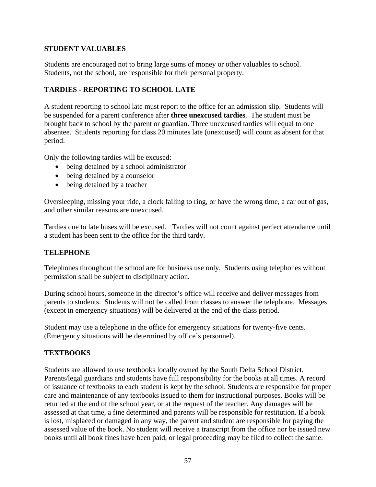#### **STUDENT VALUABLES**

Students are encouraged not to bring large sums of money or other valuables to school. Students, not the school, are responsible for their personal property.

#### **TARDIES - REPORTING TO SCHOOL LATE**

A student reporting to school late must report to the office for an admission slip. Students will be suspended for a parent conference after **three unexcused tardies**. The student must be brought back to school by the parent or guardian. Three unexcused tardies will equal to one absentee. Students reporting for class 20 minutes late (unexcused) will count as absent for that period.

Only the following tardies will be excused:

- being detained by a school administrator
- being detained by a counselor
- being detained by a teacher

Oversleeping, missing your ride, a clock failing to ring, or have the wrong time, a car out of gas, and other similar reasons are unexcused.

Tardies due to late buses will be excused. Tardies will not count against perfect attendance until a student has been sent to the office for the third tardy.

#### **TELEPHONE**

Telephones throughout the school are for business use only. Students using telephones without permission shall be subject to disciplinary action.

During school hours, someone in the director's office will receive and deliver messages from parents to students. Students will not be called from classes to answer the telephone. Messages (except in emergency situations) will be delivered at the end of the class period.

Student may use a telephone in the office for emergency situations for twenty-five cents. (Emergency situations will be determined by office's personnel).

#### **TEXTBOOKS**

Students are allowed to use textbooks locally owned by the South Delta School District. Parents/legal guardians and students have full responsibility for the books at all times. A record of issuance of textbooks to each student is kept by the school. Students are responsible for proper care and maintenance of any textbooks issued to them for instructional purposes. Books will be returned at the end of the school year, or at the request of the teacher. Any damages will be assessed at that time, a fine determined and parents will be responsible for restitution. If a book is lost, misplaced or damaged in any way, the parent and student are responsible for paying the assessed value of the book. No student will receive a transcript from the office nor be issued new books until all book fines have been paid, or legal proceeding may be filed to collect the same.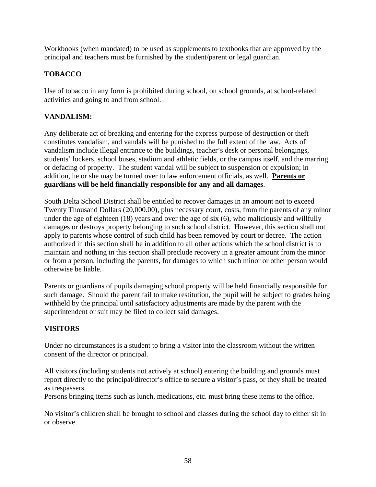Workbooks (when mandated) to be used as supplements to textbooks that are approved by the principal and teachers must be furnished by the student/parent or legal guardian.

#### **TOBACCO**

Use of tobacco in any form is prohibited during school, on school grounds, at school-related activities and going to and from school.

#### **VANDALISM:**

Any deliberate act of breaking and entering for the express purpose of destruction or theft constitutes vandalism, and vandals will be punished to the full extent of the law. Acts of vandalism include illegal entrance to the buildings, teacher's desk or personal belongings, students' lockers, school buses, stadium and athletic fields, or the campus itself, and the marring or defacing of property. The student vandal will be subject to suspension or expulsion; in addition, he or she may be turned over to law enforcement officials, as well. **Parents or guardians will be held financially responsible for any and all damages**.

South Delta School District shall be entitled to recover damages in an amount not to exceed Twenty Thousand Dollars (20,000.00), plus necessary court, costs, from the parents of any minor under the age of eighteen (18) years and over the age of six (6), who maliciously and willfully damages or destroys property belonging to such school district. However, this section shall not apply to parents whose control of such child has been removed by court or decree. The action authorized in this section shall be in addition to all other actions which the school district is to maintain and nothing in this section shall preclude recovery in a greater amount from the minor or from a person, including the parents, for damages to which such minor or other person would otherwise be liable.

Parents or guardians of pupils damaging school property will be held financially responsible for such damage. Should the parent fail to make restitution, the pupil will be subject to grades being withheld by the principal until satisfactory adjustments are made by the parent with the superintendent or suit may be filed to collect said damages.

#### **VISITORS**

Under no circumstances is a student to bring a visitor into the classroom without the written consent of the director or principal.

All visitors (including students not actively at school) entering the building and grounds must report directly to the principal/director's office to secure a visitor's pass, or they shall be treated as trespassers.

Persons bringing items such as lunch, medications, etc. must bring these items to the office.

No visitor's children shall be brought to school and classes during the school day to either sit in or observe.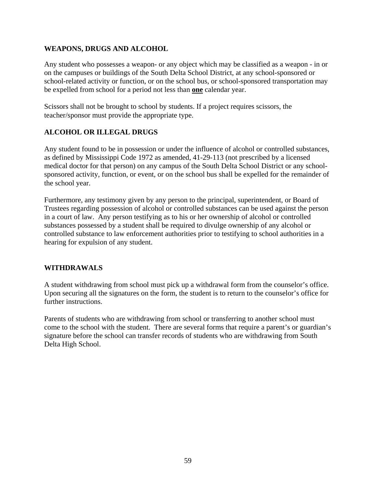#### **WEAPONS, DRUGS AND ALCOHOL**

Any student who possesses a weapon- or any object which may be classified as a weapon - in or on the campuses or buildings of the South Delta School District, at any school-sponsored or school-related activity or function, or on the school bus, or school-sponsored transportation may be expelled from school for a period not less than **one** calendar year.

Scissors shall not be brought to school by students. If a project requires scissors, the teacher/sponsor must provide the appropriate type.

#### **ALCOHOL OR ILLEGAL DRUGS**

Any student found to be in possession or under the influence of alcohol or controlled substances, as defined by Mississippi Code 1972 as amended, 41-29-113 (not prescribed by a licensed medical doctor for that person) on any campus of the South Delta School District or any schoolsponsored activity, function, or event, or on the school bus shall be expelled for the remainder of the school year.

Furthermore, any testimony given by any person to the principal, superintendent, or Board of Trustees regarding possession of alcohol or controlled substances can be used against the person in a court of law. Any person testifying as to his or her ownership of alcohol or controlled substances possessed by a student shall be required to divulge ownership of any alcohol or controlled substance to law enforcement authorities prior to testifying to school authorities in a hearing for expulsion of any student.

#### **WITHDRAWALS**

A student withdrawing from school must pick up a withdrawal form from the counselor's office. Upon securing all the signatures on the form, the student is to return to the counselor's office for further instructions.

Parents of students who are withdrawing from school or transferring to another school must come to the school with the student. There are several forms that require a parent's or guardian's signature before the school can transfer records of students who are withdrawing from South Delta High School.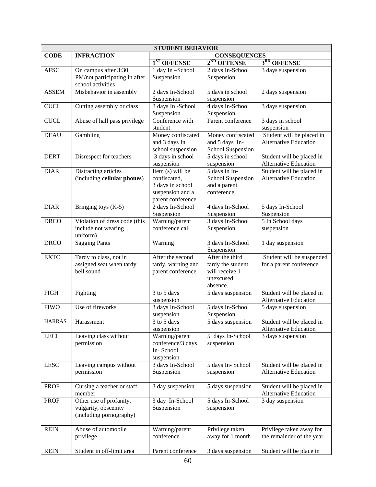| <b>STUDENT BEHAVIOR</b> |                                                                            |                                                                                               |                                                                                 |                                                           |
|-------------------------|----------------------------------------------------------------------------|-----------------------------------------------------------------------------------------------|---------------------------------------------------------------------------------|-----------------------------------------------------------|
| <b>CODE</b>             | <b>INFRACTION</b>                                                          | <b>CONSEQUENCES</b>                                                                           |                                                                                 |                                                           |
|                         |                                                                            | 1 <sup>ST</sup> OFFENSE                                                                       | $2^{ND}$ OFFENSE                                                                | 3RD OFFENSE                                               |
| <b>AFSC</b>             | On campus after 3:30<br>PM/not participating in after<br>school activities | 1 day In-School<br>Suspension                                                                 | 2 days In-School<br>Suspension                                                  | 3 days suspension                                         |
| <b>ASSEM</b>            | Misbehavior in assembly                                                    | 2 days In-School                                                                              | 5 days in school                                                                | 2 days suspension                                         |
| <b>CUCL</b>             | Cutting assembly or class                                                  | Suspension<br>3 days In -School<br>Suspension                                                 | suspension<br>4 days In-School<br>Suspension                                    | 3 days suspension                                         |
| <b>CUCL</b>             | Abuse of hall pass privilege                                               | Conference with<br>student                                                                    | Parent conference                                                               | 3 days in school<br>suspension                            |
| <b>DEAU</b>             | Gambling                                                                   | Money confiscated<br>and 3 days In<br>school suspension                                       | Money confiscated<br>and 5 days In-<br>School Suspension                        | Student will be placed in<br><b>Alternative Education</b> |
| <b>DERT</b>             | Disrespect for teachers                                                    | 3 days in school<br>suspension                                                                | 5 days in school<br>suspension                                                  | Student will be placed in<br><b>Alternative Education</b> |
| <b>DIAR</b>             | Distracting articles<br>(including cellular phones)                        | Item (s) will be<br>confiscated,<br>3 days in school<br>suspension and a<br>parent conference | 5 days in In-<br>School Suspension<br>and a parent<br>conference                | Student will be placed in<br><b>Alternative Education</b> |
| <b>DIAR</b>             | Bringing toys $(K-5)$                                                      | 2 days In-School<br>Suspension                                                                | 4 days In-School<br>Suspension                                                  | 5 days In-School<br>Suspension                            |
| <b>DRCO</b>             | Violation of dress code (this<br>include not wearing<br>uniform)           | Warning/parent<br>conference call                                                             | 3 days In-School<br>Suspension                                                  | 5 In School days<br>suspension                            |
| <b>DRCO</b>             | <b>Sagging Pants</b>                                                       | Warning                                                                                       | 3 days In-School<br>Suspension                                                  | 1 day suspension                                          |
| <b>EXTC</b>             | Tardy to class, not in<br>assigned seat when tardy<br>bell sound           | After the second<br>tardy, warning and<br>parent conference                                   | After the third<br>tardy the student<br>will receive 1<br>unexcused<br>absence. | Student will be suspended<br>for a parent conference      |
| <b>FIGH</b>             | Fighting                                                                   | 3 to 5 days<br>suspension                                                                     | 5 days suspension                                                               | Student will be placed in<br><b>Alternative Education</b> |
| <b>FIWO</b>             | Use of fireworks                                                           | 3 days In-School<br>suspension                                                                | 5 days In-School<br>Suspension                                                  | 5 days suspension                                         |
| <b>HARRAS</b>           | Harassment                                                                 | $3$ to $5$ days<br>suspension                                                                 | 5 days suspension                                                               | Student will be placed in<br><b>Alternative Education</b> |
| <b>LECL</b>             | Leaving class without<br>permission                                        | Warning/parent<br>conference/3 days<br>In-School<br>suspension                                | 5 days In-School<br>suspension                                                  | 3 days suspension                                         |
| <b>LESC</b>             | Leaving campus without<br>permission                                       | 3 days In-School<br>Suspension                                                                | 5 days In-School<br>suspension                                                  | Student will be placed in<br><b>Alternative Education</b> |
| <b>PROF</b>             | Cursing a teacher or staff<br>member                                       | 3 day suspension                                                                              | 5 days suspension                                                               | Student will be placed in<br>Alternative Education        |
| <b>PROF</b>             | Other use of profanity,<br>vulgarity, obscenity<br>(including pornography) | 3 day In-School<br>Suspension                                                                 | 5 days In-School<br>suspension                                                  | 3 day suspension                                          |
| <b>REIN</b>             | Abuse of automobile<br>privilege                                           | Warning/parent<br>conference                                                                  | Privilege taken<br>away for 1 month                                             | Privilege taken away for<br>the remainder of the year     |
| <b>REIN</b>             | Student in off-limit area                                                  | Parent conference                                                                             | 3 days suspension                                                               | Student will be place in                                  |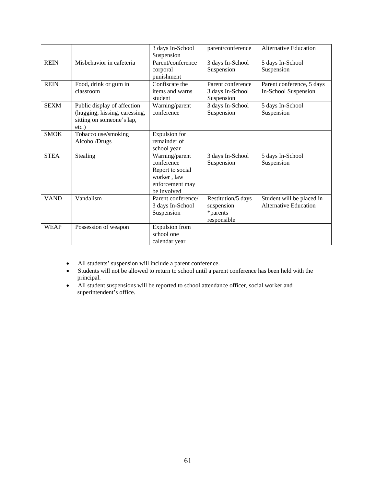|             |                                                                                                       | 3 days In-School<br>Suspension                                                                    | parent/conference                                           | Alternative Education                                     |
|-------------|-------------------------------------------------------------------------------------------------------|---------------------------------------------------------------------------------------------------|-------------------------------------------------------------|-----------------------------------------------------------|
| <b>REIN</b> | Misbehavior in cafeteria                                                                              | Parent/conference<br>corporal<br>punishment                                                       | 3 days In-School<br>Suspension                              | 5 days In-School<br>Suspension                            |
| <b>REIN</b> | Food, drink or gum in<br>classroom                                                                    | Confiscate the<br>items and warns<br>student                                                      | Parent conference<br>3 days In-School<br>Suspension         | Parent conference, 5 days<br>In-School Suspension         |
| <b>SEXM</b> | Public display of affection<br>(hugging, kissing, caressing,<br>sitting on someone's lap,<br>$etc.$ ) | Warning/parent<br>conference                                                                      | 3 days In-School<br>Suspension                              | 5 days In-School<br>Suspension                            |
| <b>SMOK</b> | Tobacco use/smoking<br>Alcohol/Drugs                                                                  | <b>Expulsion</b> for<br>remainder of<br>school year                                               |                                                             |                                                           |
| <b>STEA</b> | Stealing                                                                                              | Warning/parent<br>conference<br>Report to social<br>worker, law<br>enforcement may<br>be involved | 3 days In-School<br>Suspension                              | 5 days In-School<br>Suspension                            |
| <b>VAND</b> | Vandalism                                                                                             | Parent conference/<br>3 days In-School<br>Suspension                                              | Restitution/5 days<br>suspension<br>*parents<br>responsible | Student will be placed in<br><b>Alternative Education</b> |
| <b>WEAP</b> | Possession of weapon                                                                                  | <b>Expulsion</b> from<br>school one<br>calendar year                                              |                                                             |                                                           |

- All students' suspension will include a parent conference.
- Students will not be allowed to return to school until a parent conference has been held with the principal.
- All student suspensions will be reported to school attendance officer, social worker and superintendent's office.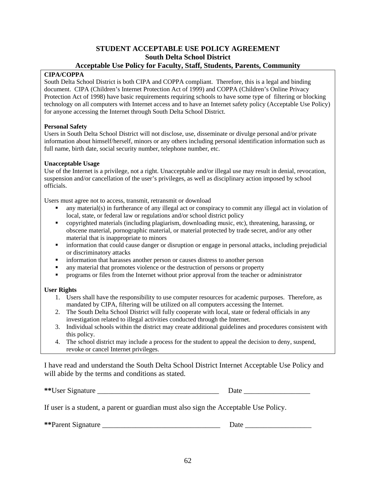# **STUDENT ACCEPTABLE USE POLICY AGREEMENT South Delta School District**

#### **Acceptable Use Policy for Faculty, Staff, Students, Parents, Community**

#### **CIPA/COPPA**

South Delta School District is both CIPA and COPPA compliant. Therefore, this is a legal and binding document. CIPA (Children's Internet Protection Act of 1999) and COPPA (Children's Online Privacy Protection Act of 1998) have basic requirements requiring schools to have some type of filtering or blocking technology on all computers with Internet access and to have an Internet safety policy (Acceptable Use Policy) for anyone accessing the Internet through South Delta School District.

#### **Personal Safety**

Users in South Delta School District will not disclose, use, disseminate or divulge personal and/or private information about himself/herself, minors or any others including personal identification information such as full name, birth date, social security number, telephone number, etc.

#### **Unacceptable Usage**

Use of the Internet is a privilege, not a right. Unacceptable and/or illegal use may result in denial, revocation, suspension and/or cancellation of the user's privileges, as well as disciplinary action imposed by school officials.

Users must agree not to access, transmit, retransmit or download

- any material(s) in furtherance of any illegal act or conspiracy to commit any illegal act in violation of local, state, or federal law or regulations and/or school district policy
- copyrighted materials (including plagiarism, downloading music, etc), threatening, harassing, or obscene material, pornographic material, or material protected by trade secret, and/or any other material that is inappropriate to minors
- information that could cause danger or disruption or engage in personal attacks, including prejudicial or discriminatory attacks
- information that harasses another person or causes distress to another person
- any material that promotes violence or the destruction of persons or property
- programs or files from the Internet without prior approval from the teacher or administrator

#### **User Rights**

- 1. Users shall have the responsibility to use computer resources for academic purposes. Therefore, as mandated by CIPA, filtering will be utilized on all computers accessing the Internet.
- 2. The South Delta School District will fully cooperate with local, state or federal officials in any investigation related to illegal activities conducted through the Internet.
- 3. Individual schools within the district may create additional guidelines and procedures consistent with this policy.
- 4. The school district may include a process for the student to appeal the decision to deny, suspend, revoke or cancel Internet privileges.

I have read and understand the South Delta School District Internet Acceptable Use Policy and will abide by the terms and conditions as stated.

| **User Signature | Jate |
|------------------|------|
|                  |      |

If user is a student, a parent or guardian must also sign the Acceptable Use Policy.

**\*\*Parent Signature Let us a set of the set of the set of the Signature Date**  $\overline{a}$